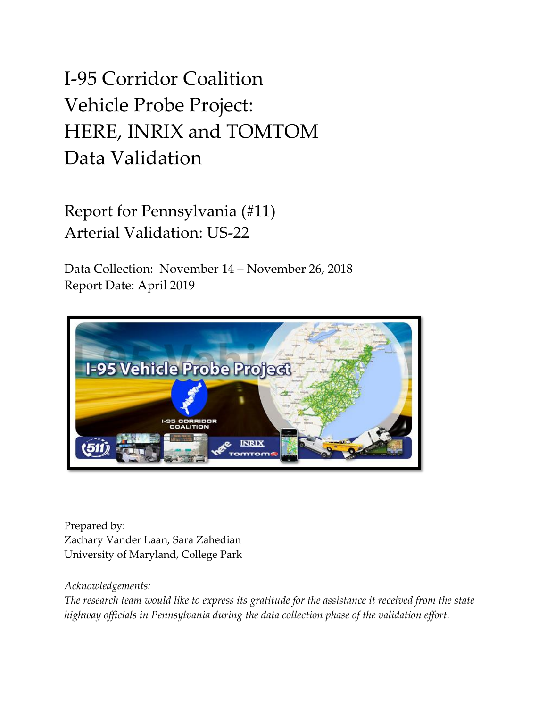# I-95 Corridor Coalition Vehicle Probe Project: HERE, INRIX and TOMTOM Data Validation

Report for Pennsylvania (#11) Arterial Validation: US-22

Data Collection: November 14 – November 26, 2018 Report Date: April 2019



Prepared by: Zachary Vander Laan, Sara Zahedian University of Maryland, College Park

#### *Acknowledgements:*

*The research team would like to express its gratitude for the assistance it received from the state highway officials in Pennsylvania during the data collection phase of the validation effort.*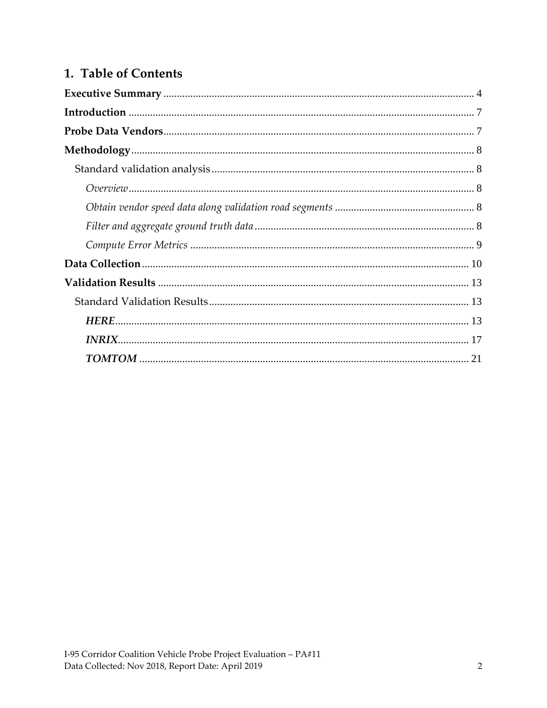### 1. Table of Contents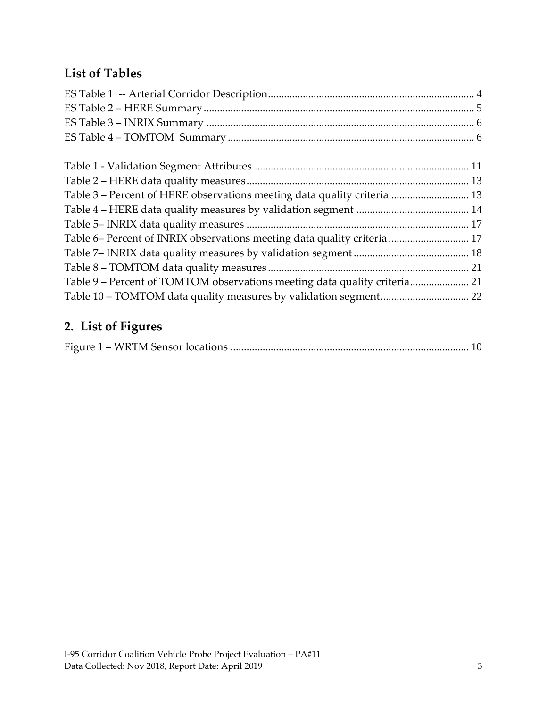### **List of Tables**

| Table 3 – Percent of HERE observations meeting data quality criteria  13  |  |
|---------------------------------------------------------------------------|--|
|                                                                           |  |
|                                                                           |  |
| Table 6- Percent of INRIX observations meeting data quality criteria  17  |  |
|                                                                           |  |
|                                                                           |  |
| Table 9 - Percent of TOMTOM observations meeting data quality criteria 21 |  |
| Table 10 - TOMTOM data quality measures by validation segment 22          |  |

### **2. List of Figures**

|--|--|--|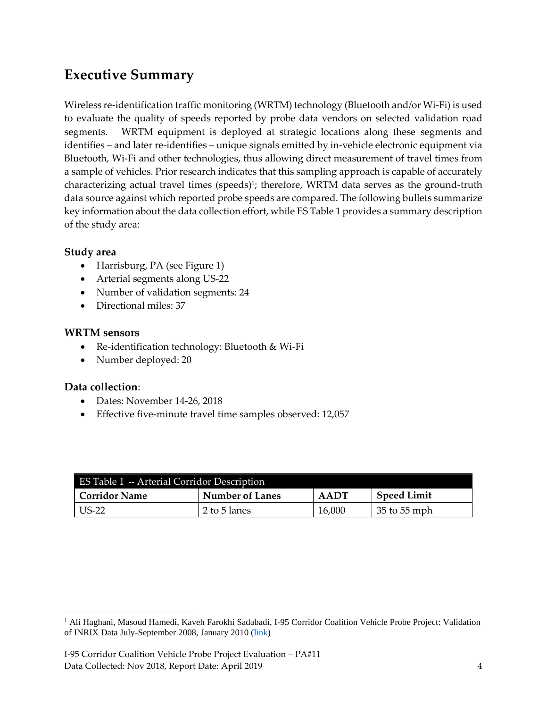### <span id="page-3-0"></span>**Executive Summary**

Wireless re-identification traffic monitoring (WRTM) technology (Bluetooth and/or Wi-Fi) is used to evaluate the quality of speeds reported by probe data vendors on selected validation road segments. WRTM equipment is deployed at strategic locations along these segments and identifies – and later re-identifies – unique signals emitted by in-vehicle electronic equipment via Bluetooth, Wi-Fi and other technologies, thus allowing direct measurement of travel times from a sample of vehicles. Prior research indicates that this sampling approach is capable of accurately characterizing actual travel times (speeds)<sup>1</sup>; therefore, WRTM data serves as the ground-truth data source against which reported probe speeds are compared. The following bullets summarize key information about the data collection effort, while ES Table 1 provides a summary description of the study area:

#### **Study area**

- Harrisburg, PA (see Figure 1)
- Arterial segments along US-22
- Number of validation segments: 24
- Directional miles: 37

#### **WRTM sensors**

- Re-identification technology: Bluetooth & Wi-Fi
- Number deployed: 20

#### **Data collection**:

 $\overline{a}$ 

- Dates: November 14-26, 2018
- Effective five-minute travel time samples observed: 12,057

<span id="page-3-1"></span>

| ES Table 1 -- Arterial Corridor Description |                 |        |                    |  |  |
|---------------------------------------------|-----------------|--------|--------------------|--|--|
| Corridor Name                               | Number of Lanes | AADT   | <b>Speed Limit</b> |  |  |
| US-22                                       | 2 to 5 lanes    | 16,000 | 35 to 55 mph       |  |  |

<sup>&</sup>lt;sup>1</sup> Ali Haghani, Masoud Hamedi, Kaveh Farokhi Sadabadi, I-95 Corridor Coalition Vehicle Probe Project: Validation of INRIX Data July-September 2008, January 2010 [\(link\)](https://i95coalition.org/wp-content/uploads/2015/02/I-95-CC-Final-Report-Jan-28-2009.pdf?x70560)

I-95 Corridor Coalition Vehicle Probe Project Evaluation – PA#11 Data Collected: Nov 2018, Report Date: April 2019 4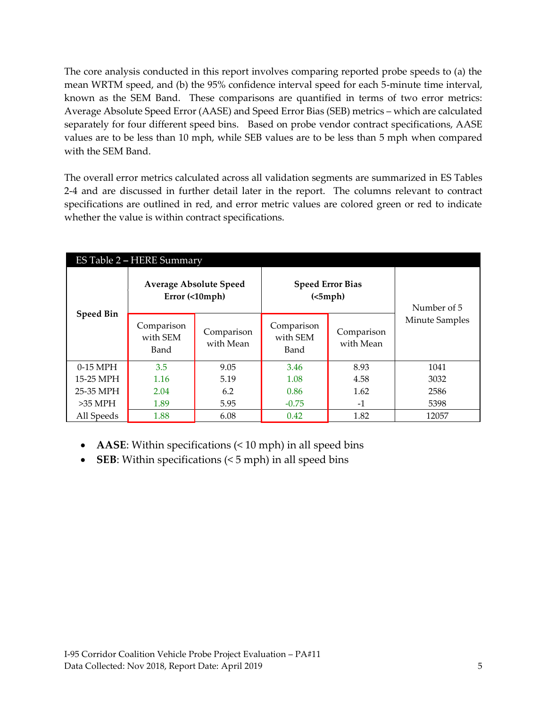The core analysis conducted in this report involves comparing reported probe speeds to (a) the mean WRTM speed, and (b) the 95% confidence interval speed for each 5-minute time interval, known as the SEM Band. These comparisons are quantified in terms of two error metrics: Average Absolute Speed Error (AASE) and Speed Error Bias (SEB) metrics – which are calculated separately for four different speed bins. Based on probe vendor contract specifications, AASE values are to be less than 10 mph, while SEB values are to be less than 5 mph when compared with the SEM Band.

The overall error metrics calculated across all validation segments are summarized in ES Tables 2-4 and are discussed in further detail later in the report. The columns relevant to contract specifications are outlined in red, and error metric values are colored green or red to indicate whether the value is within contract specifications.

<span id="page-4-0"></span>

| ES Table 2 - HERE Summary |                                                 |                         |                                     |                         |                |  |  |
|---------------------------|-------------------------------------------------|-------------------------|-------------------------------------|-------------------------|----------------|--|--|
|                           | <b>Average Absolute Speed</b><br>Error (<10mph) |                         | <b>Speed Error Bias</b><br>(<5 mph) | Number of 5             |                |  |  |
| <b>Speed Bin</b>          | Comparison<br>with SEM<br>Band                  | Comparison<br>with Mean | Comparison<br>with SEM<br>Band      | Comparison<br>with Mean | Minute Samples |  |  |
| 0-15 MPH                  | 3.5                                             | 9.05                    | 3.46                                | 8.93                    | 1041           |  |  |
| 15-25 MPH                 | 1.16                                            | 5.19                    | 1.08                                | 4.58                    | 3032           |  |  |
| 25-35 MPH                 | 2.04                                            | 6.2                     | 0.86                                | 1.62                    | 2586           |  |  |
| $>35$ MPH                 | 1.89                                            | 5.95                    | $-0.75$                             | $-1$                    | 5398           |  |  |
| All Speeds                | 1.88                                            | 6.08                    | 0.42                                | 1.82                    | 12057          |  |  |

- **AASE**: Within specifications (< 10 mph) in all speed bins
- **SEB**: Within specifications (< 5 mph) in all speed bins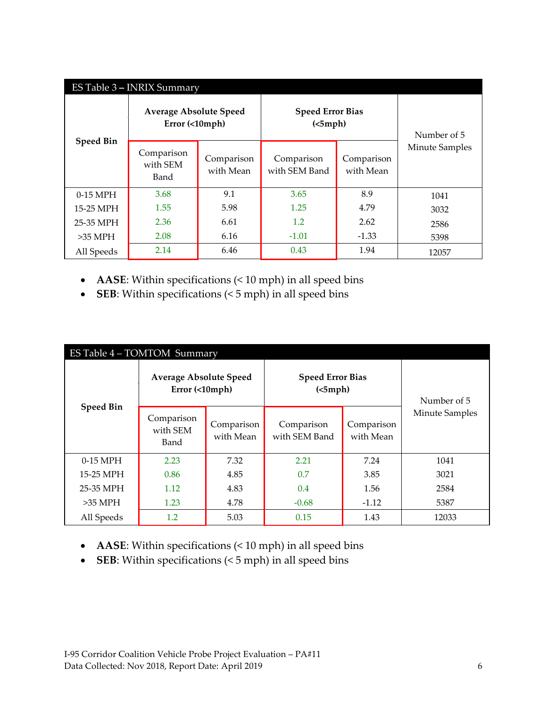<span id="page-5-0"></span>

| ES Table 3 - INRIX Summary |                                                 |                         |                                     |                         |                       |  |  |
|----------------------------|-------------------------------------------------|-------------------------|-------------------------------------|-------------------------|-----------------------|--|--|
|                            | <b>Average Absolute Speed</b><br>Error (<10mph) |                         | <b>Speed Error Bias</b><br>(<5 mph) | Number of 5             |                       |  |  |
| <b>Speed Bin</b>           | Comparison<br>with SEM<br>Band                  | Comparison<br>with Mean | Comparison<br>with SEM Band         | Comparison<br>with Mean | <b>Minute Samples</b> |  |  |
| $0-15$ MPH                 | 3.68                                            | 9.1                     | 3.65                                | 8.9                     | 1041                  |  |  |
| 15-25 MPH                  | 1.55                                            | 5.98                    | 1.25                                | 4.79                    | 3032                  |  |  |
| 25-35 MPH                  | 2.36                                            | 6.61                    | 1.2                                 | 2.62                    | 2586                  |  |  |
| $>35$ MPH                  | 2.08                                            | 6.16                    | $-1.01$                             | $-1.33$                 | 5398                  |  |  |
| All Speeds                 | 2.14                                            | 6.46                    | 0.43                                | 1.94                    | 12057                 |  |  |

- **AASE**: Within specifications (< 10 mph) in all speed bins
- **SEB**: Within specifications (< 5 mph) in all speed bins

<span id="page-5-1"></span>

| ES Table 4 - TOMTOM Summary |                                                 |                         |                                     |                         |                |  |  |
|-----------------------------|-------------------------------------------------|-------------------------|-------------------------------------|-------------------------|----------------|--|--|
| <b>Speed Bin</b>            | <b>Average Absolute Speed</b><br>Error (<10mph) |                         | <b>Speed Error Bias</b><br>(<5 mph) | Number of 5             |                |  |  |
|                             | Comparison<br>with SEM<br>Band                  | Comparison<br>with Mean | Comparison<br>with SEM Band         | Comparison<br>with Mean | Minute Samples |  |  |
| $0-15$ MPH                  | 2.23                                            | 7.32                    | 2.21                                | 7.24                    | 1041           |  |  |
| 15-25 MPH                   | 0.86                                            | 4.85                    | 0.7                                 | 3.85                    | 3021           |  |  |
| 25-35 MPH                   | 1.12                                            | 4.83                    | 0.4                                 | 1.56                    | 2584           |  |  |
| $>35$ MPH                   | 1.23                                            | 4.78                    | $-0.68$                             | $-1.12$                 | 5387           |  |  |
| All Speeds                  | $1.2\,$                                         | 5.03                    | 0.15                                | 1.43                    | 12033          |  |  |

- **AASE**: Within specifications (< 10 mph) in all speed bins
- **SEB**: Within specifications (< 5 mph) in all speed bins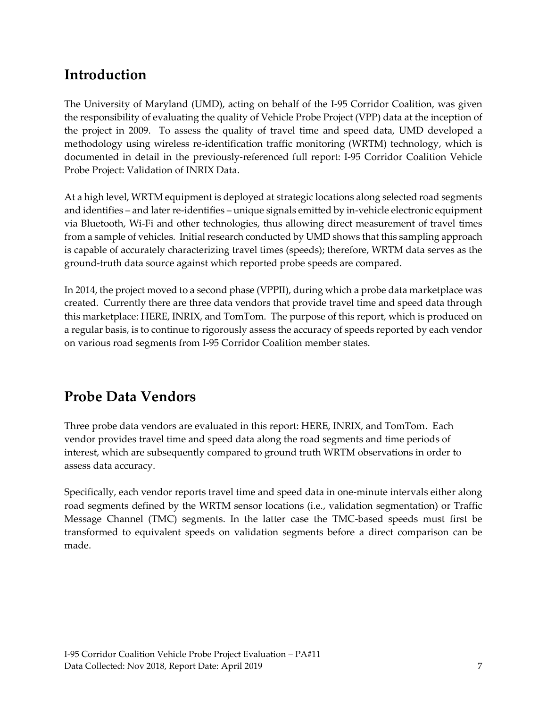### <span id="page-6-0"></span>**Introduction**

The University of Maryland (UMD), acting on behalf of the I-95 Corridor Coalition, was given the responsibility of evaluating the quality of Vehicle Probe Project (VPP) data at the inception of the project in 2009. To assess the quality of travel time and speed data, UMD developed a methodology using wireless re-identification traffic monitoring (WRTM) technology, which is documented in detail in the previously-referenced full report: I-95 Corridor Coalition Vehicle Probe Project: Validation of INRIX Data.

At a high level, WRTM equipment is deployed at strategic locations along selected road segments and identifies – and later re-identifies – unique signals emitted by in-vehicle electronic equipment via Bluetooth, Wi-Fi and other technologies, thus allowing direct measurement of travel times from a sample of vehicles. Initial research conducted by UMD shows that this sampling approach is capable of accurately characterizing travel times (speeds); therefore, WRTM data serves as the ground-truth data source against which reported probe speeds are compared.

In 2014, the project moved to a second phase (VPPII), during which a probe data marketplace was created. Currently there are three data vendors that provide travel time and speed data through this marketplace: HERE, INRIX, and TomTom. The purpose of this report, which is produced on a regular basis, is to continue to rigorously assess the accuracy of speeds reported by each vendor on various road segments from I-95 Corridor Coalition member states.

### <span id="page-6-1"></span>**Probe Data Vendors**

Three probe data vendors are evaluated in this report: HERE, INRIX, and TomTom. Each vendor provides travel time and speed data along the road segments and time periods of interest, which are subsequently compared to ground truth WRTM observations in order to assess data accuracy.

Specifically, each vendor reports travel time and speed data in one-minute intervals either along road segments defined by the WRTM sensor locations (i.e., validation segmentation) or Traffic Message Channel (TMC) segments. In the latter case the TMC-based speeds must first be transformed to equivalent speeds on validation segments before a direct comparison can be made.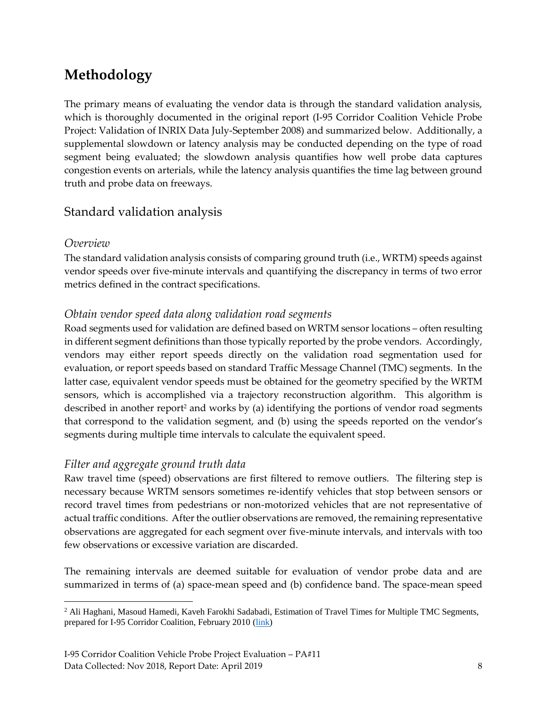# <span id="page-7-0"></span>**Methodology**

The primary means of evaluating the vendor data is through the standard validation analysis, which is thoroughly documented in the original report (I-95 Corridor Coalition Vehicle Probe Project: Validation of INRIX Data July-September 2008) and summarized below. Additionally, a supplemental slowdown or latency analysis may be conducted depending on the type of road segment being evaluated; the slowdown analysis quantifies how well probe data captures congestion events on arterials, while the latency analysis quantifies the time lag between ground truth and probe data on freeways.

### <span id="page-7-1"></span>Standard validation analysis

#### <span id="page-7-2"></span>*Overview*

The standard validation analysis consists of comparing ground truth (i.e., WRTM) speeds against vendor speeds over five-minute intervals and quantifying the discrepancy in terms of two error metrics defined in the contract specifications.

#### <span id="page-7-3"></span>*Obtain vendor speed data along validation road segments*

Road segments used for validation are defined based on WRTM sensor locations – often resulting in different segment definitions than those typically reported by the probe vendors. Accordingly, vendors may either report speeds directly on the validation road segmentation used for evaluation, or report speeds based on standard Traffic Message Channel (TMC) segments. In the latter case, equivalent vendor speeds must be obtained for the geometry specified by the WRTM sensors, which is accomplished via a trajectory reconstruction algorithm. This algorithm is described in another report<sup>2</sup> and works by (a) identifying the portions of vendor road segments that correspond to the validation segment, and (b) using the speeds reported on the vendor's segments during multiple time intervals to calculate the equivalent speed.

#### <span id="page-7-4"></span>*Filter and aggregate ground truth data*

Raw travel time (speed) observations are first filtered to remove outliers. The filtering step is necessary because WRTM sensors sometimes re-identify vehicles that stop between sensors or record travel times from pedestrians or non-motorized vehicles that are not representative of actual traffic conditions. After the outlier observations are removed, the remaining representative observations are aggregated for each segment over five-minute intervals, and intervals with too few observations or excessive variation are discarded.

The remaining intervals are deemed suitable for evaluation of vendor probe data and are summarized in terms of (a) space-mean speed and (b) confidence band. The space-mean speed

 $\overline{a}$ <sup>2</sup> Ali Haghani, Masoud Hamedi, Kaveh Farokhi Sadabadi, Estimation of Travel Times for Multiple TMC Segments, prepared for I-95 Corridor Coalition, February 2010 [\(link\)](http://www.i95coalition.org/wp-content/uploads/2015/02/I-95-CC-Estimation-of-Travel-Times-for-Multiple-TMC-Segments-FINAL2.pdf)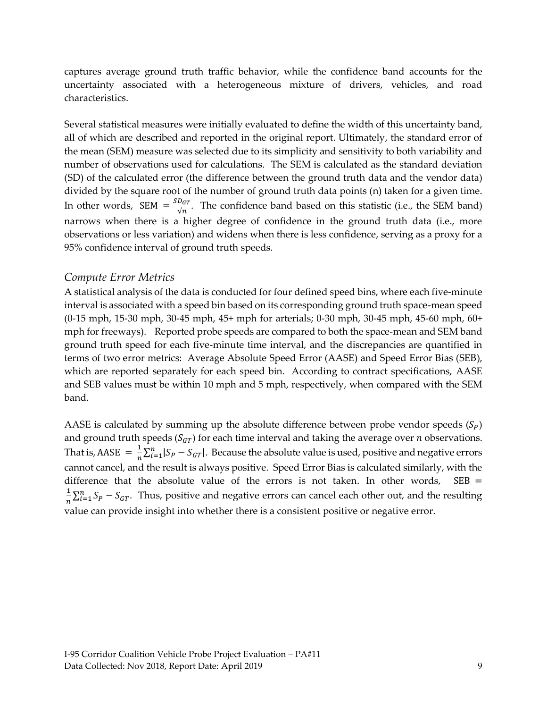captures average ground truth traffic behavior, while the confidence band accounts for the uncertainty associated with a heterogeneous mixture of drivers, vehicles, and road characteristics.

Several statistical measures were initially evaluated to define the width of this uncertainty band, all of which are described and reported in the original report. Ultimately, the standard error of the mean (SEM) measure was selected due to its simplicity and sensitivity to both variability and number of observations used for calculations. The SEM is calculated as the standard deviation (SD) of the calculated error (the difference between the ground truth data and the vendor data) divided by the square root of the number of ground truth data points (n) taken for a given time. In other words, SEM  $=\frac{SD_{GT}}{2\pi}$  $\frac{\partial G_T}{\partial n}$ . The confidence band based on this statistic (i.e., the SEM band) narrows when there is a higher degree of confidence in the ground truth data (i.e., more observations or less variation) and widens when there is less confidence, serving as a proxy for a 95% confidence interval of ground truth speeds.

#### <span id="page-8-0"></span>*Compute Error Metrics*

A statistical analysis of the data is conducted for four defined speed bins, where each five-minute interval is associated with a speed bin based on its corresponding ground truth space-mean speed (0-15 mph, 15-30 mph, 30-45 mph, 45+ mph for arterials; 0-30 mph, 30-45 mph, 45-60 mph, 60+ mph for freeways). Reported probe speeds are compared to both the space-mean and SEM band ground truth speed for each five-minute time interval, and the discrepancies are quantified in terms of two error metrics: Average Absolute Speed Error (AASE) and Speed Error Bias (SEB), which are reported separately for each speed bin. According to contract specifications, AASE and SEB values must be within 10 mph and 5 mph, respectively, when compared with the SEM band.

AASE is calculated by summing up the absolute difference between probe vendor speeds  $(S_P)$ and ground truth speeds ( $S_{GT}$ ) for each time interval and taking the average over *n* observations. That is, AASE  $=$   $\frac{1}{n}$  $\frac{1}{n}\sum_{i=1}^{n} |S_P - S_{GT}|$ . Because the absolute value is used, positive and negative errors cannot cancel, and the result is always positive. Speed Error Bias is calculated similarly, with the difference that the absolute value of the errors is not taken. In other words,  $SEB =$ 1  $\frac{1}{n}\sum_{i=1}^{n} S_p - S_{GT}$ . Thus, positive and negative errors can cancel each other out, and the resulting value can provide insight into whether there is a consistent positive or negative error.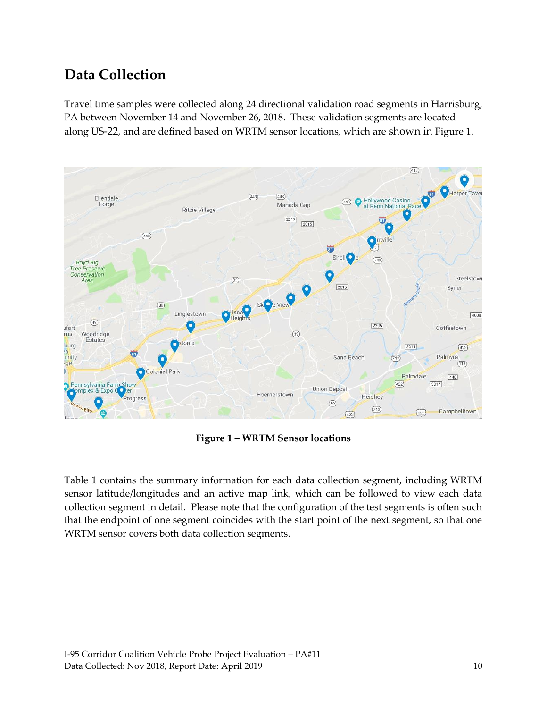# <span id="page-9-0"></span>**Data Collection**

Travel time samples were collected along 24 directional validation road segments in Harrisburg, PA between November 14 and November 26, 2018. These validation segments are located along US-22, and are defined based on WRTM sensor locations, which are shown in Figure 1.



**Figure 1 – WRTM Sensor locations**

<span id="page-9-1"></span>Table 1 contains the summary information for each data collection segment, including WRTM sensor latitude/longitudes and an active map link, which can be followed to view each data collection segment in detail. Please note that the configuration of the test segments is often such that the endpoint of one segment coincides with the start point of the next segment, so that one WRTM sensor covers both data collection segments.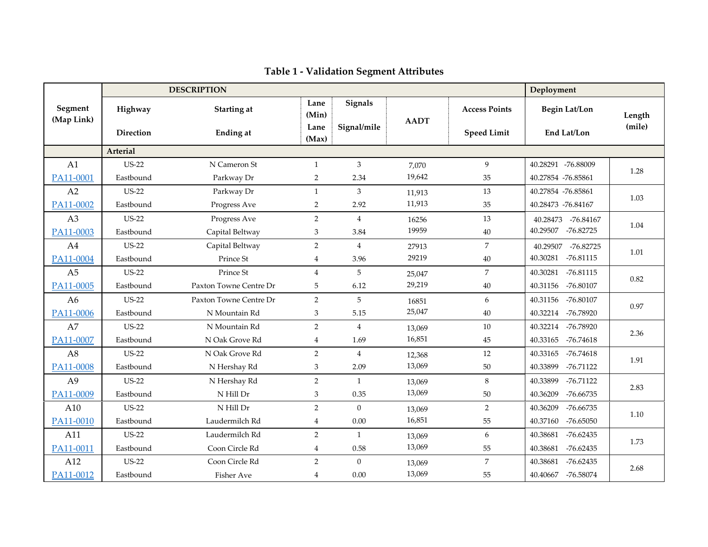<span id="page-10-0"></span>

|                       | <b>DESCRIPTION</b> |                        |                         |                  |             |                      | Deployment              |        |
|-----------------------|--------------------|------------------------|-------------------------|------------------|-------------|----------------------|-------------------------|--------|
| Segment<br>(Map Link) | Highway            | <b>Starting at</b>     | Lane<br>(Min)           | Signals          | <b>AADT</b> | <b>Access Points</b> | <b>Begin Lat/Lon</b>    | Length |
|                       | <b>Direction</b>   | <b>Ending</b> at       | Lane<br>(Max)           | Signal/mile      |             | <b>Speed Limit</b>   | End Lat/Lon             | (mile) |
|                       | Arterial           |                        |                         |                  |             |                      |                         |        |
| A1                    | <b>US-22</b>       | N Cameron St           | $\mathbf{1}$            | 3                | 7,070       | 9                    | 40.28291 -76.88009      | 1.28   |
| PA11-0001             | Eastbound          | Parkway Dr             | $\overline{2}$          | 2.34             | 19,642      | 35                   | 40.27854 -76.85861      |        |
| A2                    | <b>US-22</b>       | Parkway Dr             | $\mathbf{1}$            | 3                | 11,913      | 13                   | 40.27854 -76.85861      | 1.03   |
| PA11-0002             | Eastbound          | Progress Ave           | $\overline{2}$          | 2.92             | 11,913      | 35                   | 40.28473 -76.84167      |        |
| A3                    | <b>US-22</b>       | Progress Ave           | $\overline{2}$          | $\overline{4}$   | 16256       | 13                   | 40.28473 -76.84167      | 1.04   |
| PA11-0003             | Eastbound          | Capital Beltway        | 3                       | 3.84             | 19959       | $40\,$               | 40.29507<br>-76.82725   |        |
| A4                    | <b>US-22</b>       | Capital Beltway        | $\overline{2}$          | $\overline{4}$   | 27913       | $\overline{7}$       | 40.29507 -76.82725      | 1.01   |
| PA11-0004             | Eastbound          | Prince St              | 4                       | 3.96             | 29219       | 40                   | 40.30281<br>$-76.81115$ |        |
| A <sub>5</sub>        | <b>US-22</b>       | Prince St              | $\overline{4}$          | 5                | 25,047      | $\overline{7}$       | 40.30281<br>$-76.81115$ | 0.82   |
| PA11-0005             | Eastbound          | Paxton Towne Centre Dr | 5                       | 6.12             | 29,219      | 40                   | 40.31156<br>-76.80107   |        |
| A <sub>6</sub>        | <b>US-22</b>       | Paxton Towne Centre Dr | $\overline{2}$          | 5                | 16851       | 6                    | 40.31156<br>-76.80107   | 0.97   |
| PA11-0006             | Eastbound          | N Mountain Rd          | 3                       | 5.15             | 25,047      | 40                   | 40.32214<br>-76.78920   |        |
| A7                    | <b>US-22</b>       | N Mountain Rd          | $\overline{2}$          | $\overline{4}$   | 13,069      | 10                   | 40.32214<br>-76.78920   | 2.36   |
| PA11-0007             | Eastbound          | N Oak Grove Rd         | $\overline{\mathbf{4}}$ | 1.69             | 16,851      | 45                   | 40.33165<br>$-76.74618$ |        |
| A <sub>8</sub>        | <b>US-22</b>       | N Oak Grove Rd         | $\overline{2}$          | $\overline{4}$   | 12,368      | 12                   | 40.33165<br>$-76.74618$ | 1.91   |
| PA11-0008             | Eastbound          | N Hershay Rd           | 3                       | 2.09             | 13,069      | 50                   | $-76.71122$<br>40.33899 |        |
| A <sub>9</sub>        | <b>US-22</b>       | N Hershay Rd           | $\overline{2}$          | $\mathbf{1}$     | 13,069      | 8                    | 40.33899<br>$-76.71122$ | 2.83   |
| PA11-0009             | Eastbound          | N Hill Dr              | 3                       | 0.35             | 13,069      | 50                   | 40.36209<br>-76.66735   |        |
| A10                   | <b>US-22</b>       | N Hill Dr              | $\overline{2}$          | $\boldsymbol{0}$ | 13,069      | $\overline{2}$       | 40.36209<br>-76.66735   | 1.10   |
| PA11-0010             | Eastbound          | Laudermilch Rd         | $\overline{4}$          | $0.00\,$         | 16,851      | 55                   | -76.65050<br>40.37160   |        |
| A11                   | <b>US-22</b>       | Laudermilch Rd         | $\overline{2}$          | $\mathbf{1}$     | 13,069      | 6                    | 40.38681<br>$-76.62435$ | 1.73   |
| PA11-0011             | Eastbound          | Coon Circle Rd         | $\overline{4}$          | 0.58             | 13,069      | 55                   | 40.38681<br>-76.62435   |        |
| A12                   | <b>US-22</b>       | Coon Circle Rd         | $\overline{2}$          | $\overline{0}$   | 13,069      | $\overline{7}$       | 40.38681<br>$-76.62435$ | 2.68   |
| PA11-0012             | Eastbound          | <b>Fisher Ave</b>      | 4                       | 0.00             | 13,069      | 55                   | -76.58074<br>40.40667   |        |

### **Table 1 - Validation Segment Attributes**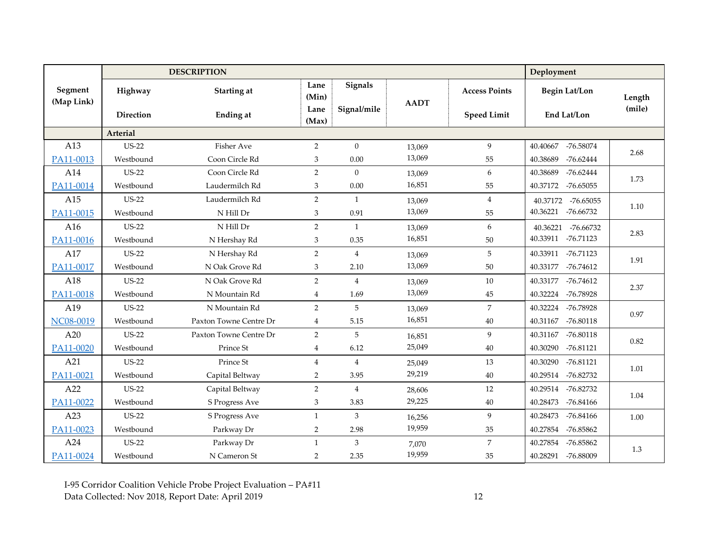|                       |              | <b>DESCRIPTION</b>     |                |                |             |                      | Deployment              |        |
|-----------------------|--------------|------------------------|----------------|----------------|-------------|----------------------|-------------------------|--------|
| Segment<br>(Map Link) | Highway      | Starting at            | Lane<br>(Min)  | <b>Signals</b> | <b>AADT</b> | <b>Access Points</b> | <b>Begin Lat/Lon</b>    | Length |
|                       | Direction    | <b>Ending at</b>       | Lane<br>(Max)  | Signal/mile    |             | <b>Speed Limit</b>   | End Lat/Lon             | (mile) |
|                       | Arterial     |                        |                |                |             |                      |                         |        |
| A13                   | $US-22$      | <b>Fisher Ave</b>      | $\overline{2}$ | $\Omega$       | 13,069      | 9                    | 40.40667<br>-76.58074   | 2.68   |
| PA11-0013             | Westbound    | Coon Circle Rd         | 3              | 0.00           | 13,069      | 55                   | 40.38689<br>$-76.62444$ |        |
| A14                   | <b>US-22</b> | Coon Circle Rd         | $\overline{2}$ | $\theta$       | 13,069      | 6                    | 40.38689<br>$-76.62444$ | 1.73   |
| PA11-0014             | Westbound    | Laudermilch Rd         | 3              | $0.00\,$       | 16,851      | 55                   | 40.37172<br>-76.65055   |        |
| A15                   | <b>US-22</b> | Laudermilch Rd         | $\overline{2}$ | $\mathbf{1}$   | 13,069      | $\overline{4}$       | 40.37172<br>-76.65055   | 1.10   |
| PA11-0015             | Westbound    | N Hill Dr              | 3              | 0.91           | 13,069      | 55                   | 40.36221<br>-76.66732   |        |
| A16                   | <b>US-22</b> | N Hill Dr              | $\overline{2}$ | $\mathbf{1}$   | 13,069      | 6                    | 40.36221<br>-76.66732   |        |
| PA11-0016             | Westbound    | N Hershay Rd           | 3              | 0.35           | 16,851      | 50                   | 40.33911 -76.71123      | 2.83   |
| A17                   | <b>US-22</b> | N Hershay Rd           | $\overline{2}$ | $\overline{4}$ | 13,069      | 5                    | 40.33911<br>-76.71123   |        |
| PA11-0017             | Westbound    | N Oak Grove Rd         | 3              | 2.10           | 13,069      | 50                   | -76.74612<br>40.33177   | 1.91   |
| A18                   | $US-22$      | N Oak Grove Rd         | $\overline{2}$ | $\overline{4}$ | 13,069      | 10                   | 40.33177<br>-76.74612   |        |
| PA11-0018             | Westbound    | N Mountain Rd          | $\overline{4}$ | 1.69           | 13,069      | 45                   | 40.32224<br>-76.78928   | 2.37   |
| A19                   | <b>US-22</b> | N Mountain Rd          | $\overline{2}$ | 5              | 13,069      | $\overline{7}$       | 40.32224<br>-76.78928   |        |
| NC08-0019             | Westbound    | Paxton Towne Centre Dr | $\overline{4}$ | 5.15           | 16,851      | 40                   | 40.31167<br>-76.80118   | 0.97   |
| A20                   | <b>US-22</b> | Paxton Towne Centre Dr | $\overline{2}$ | 5              | 16,851      | 9                    | 40.31167<br>-76.80118   |        |
| PA11-0020             | Westbound    | Prince St              | $\overline{4}$ | 6.12           | 25,049      | 40                   | 40.30290<br>-76.81121   | 0.82   |
| A21                   | <b>US-22</b> | Prince St              | $\overline{4}$ | $\overline{4}$ | 25,049      | 13                   | 40.30290<br>$-76.81121$ | 1.01   |
| PA11-0021             | Westbound    | Capital Beltway        | $\overline{2}$ | 3.95           | 29,219      | 40                   | 40.29514<br>-76.82732   |        |
| A22                   | <b>US-22</b> | Capital Beltway        | $\overline{2}$ | $\overline{4}$ | 28,606      | 12                   | 40.29514<br>-76.82732   |        |
| PA11-0022             | Westbound    | S Progress Ave         | 3              | 3.83           | 29,225      | 40                   | 40.28473<br>-76.84166   | 1.04   |
| A23                   | <b>US-22</b> | S Progress Ave         | $\mathbf{1}$   | $\mathbf{3}$   | 16,256      | 9                    | 40.28473<br>-76.84166   | 1.00   |
| PA11-0023             | Westbound    | Parkway Dr             | $\overline{2}$ | 2.98           | 19,959      | 35                   | 40.27854<br>-76.85862   |        |
| A24                   | <b>US-22</b> | Parkway Dr             | 1              | 3              | 7,070       | $\overline{7}$       | 40.27854<br>-76.85862   |        |
| PA11-0024             | Westbound    | N Cameron St           | $\overline{2}$ | 2.35           | 19,959      | 35                   | 40.28291 -76.88009      | 1.3    |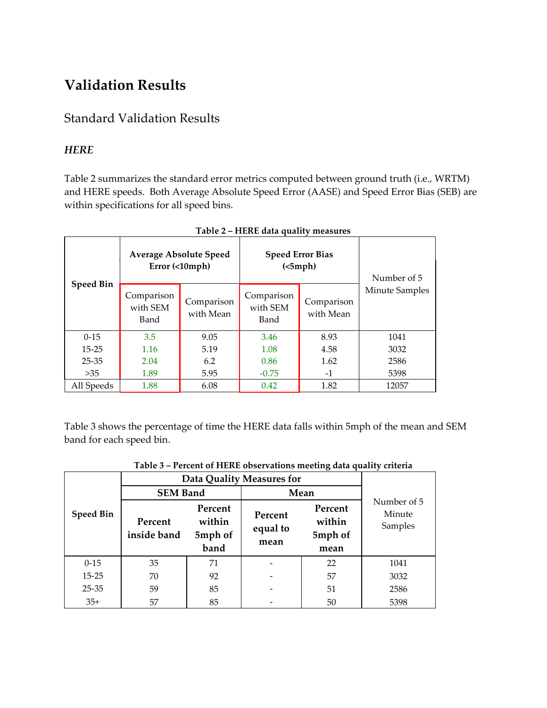# <span id="page-12-0"></span>**Validation Results**

### <span id="page-12-1"></span>Standard Validation Results

#### <span id="page-12-2"></span>*HERE*

Table 2 summarizes the standard error metrics computed between ground truth (i.e., WRTM) and HERE speeds. Both Average Absolute Speed Error (AASE) and Speed Error Bias (SEB) are within specifications for all speed bins.

<span id="page-12-3"></span>

|                  | <b>Average Absolute Speed</b><br>Error ( < 10 mph) |                         | <b>Speed Error Bias</b><br>(<5 mph) | Number of 5             |                |
|------------------|----------------------------------------------------|-------------------------|-------------------------------------|-------------------------|----------------|
| <b>Speed Bin</b> | Comparison<br>with SEM<br>Band                     | Comparison<br>with Mean | Comparison<br>with SEM<br>Band      | Comparison<br>with Mean | Minute Samples |
| $0-15$           | 3.5                                                | 9.05                    | 3.46                                | 8.93                    | 1041           |
| $15 - 25$        | 1.16                                               | 5.19                    | 1.08                                | 4.58                    | 3032           |
| $25 - 35$        | 2.04                                               | 6.2                     | 0.86                                | 1.62                    | 2586           |
| >35              | 1.89                                               | 5.95                    | $-0.75$                             | $-1$                    | 5398           |
| All Speeds       | 1.88                                               | 6.08                    | 0.42                                | 1.82                    | 12057          |

Table 3 shows the percentage of time the HERE data falls within 5mph of the mean and SEM band for each speed bin.

<span id="page-12-4"></span>

| Table 5 – Percent of HEKE Observations meeting data quality criteria |                           |                                      |                             |                                      |                                  |  |  |
|----------------------------------------------------------------------|---------------------------|--------------------------------------|-----------------------------|--------------------------------------|----------------------------------|--|--|
|                                                                      | Data Quality Measures for |                                      |                             |                                      |                                  |  |  |
|                                                                      | <b>SEM Band</b>           |                                      | Mean                        |                                      |                                  |  |  |
| <b>Speed Bin</b>                                                     | Percent<br>inside band    | Percent<br>within<br>5mph of<br>band | Percent<br>equal to<br>mean | Percent<br>within<br>5mph of<br>mean | Number of 5<br>Minute<br>Samples |  |  |
| $0 - 15$                                                             | 35                        | 71                                   |                             | 22                                   | 1041                             |  |  |
| $15 - 25$                                                            | 70                        | 92                                   |                             | 57                                   | 3032                             |  |  |
| $25 - 35$                                                            | 59                        | 85                                   |                             | 51                                   | 2586                             |  |  |
| $35+$                                                                | 57                        | 85                                   |                             | 50                                   | 5398                             |  |  |

**Table 3 – Percent of HERE observations meeting data quality criteria**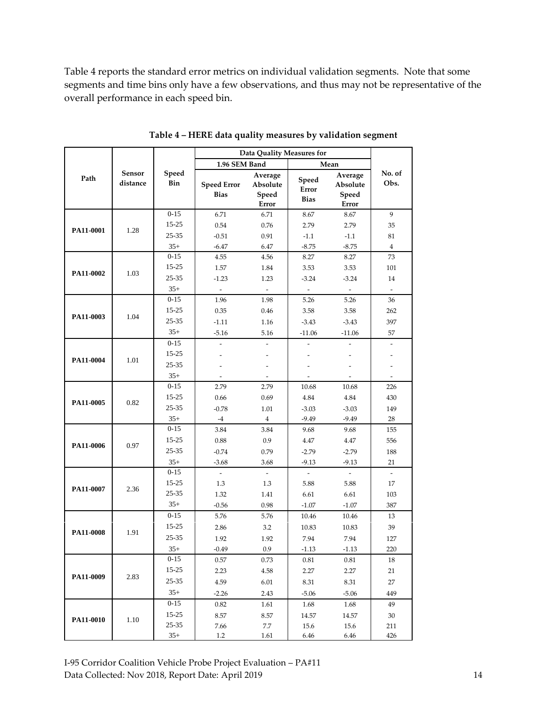Table 4 reports the standard error metrics on individual validation segments. Note that some segments and time bins only have a few observations, and thus may not be representative of the overall performance in each speed bin.

<span id="page-13-0"></span>

|           |                    |              | Data Quality Measures for         |                                       |                               |                                       |                |
|-----------|--------------------|--------------|-----------------------------------|---------------------------------------|-------------------------------|---------------------------------------|----------------|
|           |                    |              | 1.96 SEM Band                     |                                       |                               | Mean                                  |                |
| Path      | Sensor<br>distance | Speed<br>Bin | <b>Speed Error</b><br><b>Bias</b> | Average<br>Absolute<br>Speed<br>Error | Speed<br>Error<br><b>Bias</b> | Average<br>Absolute<br>Speed<br>Error | No. of<br>Obs. |
|           |                    | $0 - 15$     | 6.71                              | 6.71                                  | 8.67                          | 8.67                                  | 9              |
|           |                    | 15-25        | 0.54                              | 0.76                                  | 2.79                          | 2.79                                  | 35             |
| PA11-0001 | 1.28               | 25-35        | $-0.51$                           | 0.91                                  | $-1.1$                        | $-1.1$                                | 81             |
|           |                    | $35+$        | $-6.47$                           | 6.47                                  | $-8.75$                       | $-8.75$                               | $\overline{4}$ |
|           |                    | $0 - 15$     | 4.55                              | 4.56                                  | 8.27                          | 8.27                                  | 73             |
| PA11-0002 |                    | 15-25        | 1.57                              | 1.84                                  | 3.53                          | 3.53                                  | 101            |
|           | 1.03               | 25-35        | $-1.23$                           | 1.23                                  | $-3.24$                       | $-3.24$                               | 14             |
|           |                    | $35+$        | $\overline{\phantom{a}}$          | $\overline{\phantom{a}}$              | $\overline{\phantom{a}}$      | $\overline{\phantom{a}}$              |                |
|           |                    | $0 - 15$     | 1.96                              | 1.98                                  | 5.26                          | 5.26                                  | 36             |
| PA11-0003 | 1.04               | 15-25        | 0.35                              | 0.46                                  | 3.58                          | 3.58                                  | 262            |
|           |                    | 25-35        | $-1.11$                           | 1.16                                  | $-3.43$                       | $-3.43$                               | 397            |
|           |                    | $35+$        | $-5.16$                           | 5.16                                  | $-11.06$                      | $-11.06$                              | 57             |
|           |                    | $0 - 15$     |                                   |                                       |                               |                                       |                |
| PA11-0004 | 1.01               | $15 - 25$    |                                   |                                       |                               |                                       |                |
|           | 25-35              |              |                                   |                                       |                               |                                       |                |
|           |                    | $35+$        |                                   |                                       |                               |                                       |                |
|           |                    | $0 - 15$     | 2.79                              | 2.79                                  | 10.68                         | 10.68                                 | 226            |
| PA11-0005 | 0.82               | $15 - 25$    | 0.66                              | 0.69                                  | 4.84                          | 4.84                                  | 430            |
|           |                    | 25-35        | $-0.78$                           | 1.01                                  | $-3.03$                       | $-3.03$                               | 149            |
|           |                    | $35+$        | $-4$                              | $\overline{4}$                        | $-9.49$                       | $-9.49$                               | 28             |
|           |                    | $0 - 15$     | 3.84                              | 3.84                                  | 9.68                          | 9.68                                  | 155            |
| PA11-0006 | 0.97               | $15 - 25$    | 0.88                              | 0.9                                   | 4.47                          | 4.47                                  | 556            |
|           |                    | 25-35        | $-0.74$                           | 0.79                                  | $-2.79$                       | $-2.79$                               | 188            |
|           |                    | $35+$        | $-3.68$                           | 3.68                                  | $-9.13$                       | $-9.13$                               | 21             |
|           |                    | $0 - 15$     |                                   |                                       |                               |                                       | $\omega$       |
| PA11-0007 | 2.36               | $15 - 25$    | 1.3                               | 1.3                                   | 5.88                          | 5.88                                  | 17             |
|           |                    | 25-35        | 1.32                              | 1.41                                  | 6.61                          | 6.61                                  | 103            |
|           |                    | $35+$        | $-0.56$                           | 0.98                                  | $-1.07$                       | $-1.07$                               | 387            |
|           |                    | $0 - 15$     | 5.76                              | 5.76                                  | 10.46                         | 10.46                                 | 13             |
| PA11-0008 | 1.91               | $15 - 25$    | 2.86                              | 3.2                                   | 10.83                         | 10.83                                 | 39             |
|           |                    | $25 - 35$    | 1.92                              | 1.92                                  | 7.94                          | 7.94                                  | 127            |
|           |                    | $35+$        | -0.49                             | 0.9                                   | $-1.13$                       | $-1.13$                               | 220            |
|           |                    | $0 - 15$     | 0.57                              | 0.73                                  | 0.81                          | 0.81                                  | 18             |
| PA11-0009 | 2.83               | $15 - 25$    | 2.23                              | 4.58                                  | 2.27                          | 2.27                                  | 21             |
|           |                    | $25 - 35$    | 4.59                              | 6.01                                  | 8.31                          | 8.31                                  | 27             |
|           |                    | $35+$        | $-2.26$                           | 2.43                                  | $-5.06$                       | $-5.06$                               | 449            |
|           |                    | $0 - 15$     | 0.82                              | 1.61                                  | 1.68                          | 1.68                                  | 49             |
| PA11-0010 | 1.10               | $15 - 25$    | 8.57                              | 8.57                                  | 14.57                         | 14.57                                 | 30             |
|           |                    | 25-35        | 7.66                              | 7.7                                   | 15.6                          | 15.6                                  | 211            |
|           |                    | $35+$        | 1.2                               | 1.61                                  | 6.46                          | 6.46                                  | 426            |

**Table 4 – HERE data quality measures by validation segment**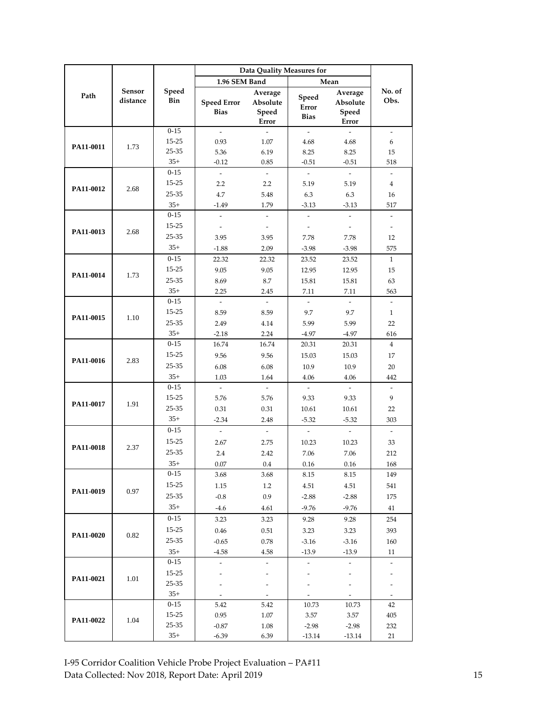|           |                           |                   | Data Quality Measures for         |                                       |                                     |                                       |                                |
|-----------|---------------------------|-------------------|-----------------------------------|---------------------------------------|-------------------------------------|---------------------------------------|--------------------------------|
|           |                           |                   | 1.96 SEM Band                     |                                       |                                     | Mean                                  |                                |
| Path      | <b>Sensor</b><br>distance | Speed<br>Bin      | <b>Speed Error</b><br><b>Bias</b> | Average<br>Absolute<br>Speed<br>Error | Speed<br>Error<br><b>Bias</b>       | Average<br>Absolute<br>Speed<br>Error | No. of<br>Obs.                 |
|           |                           | $0 - 15$          | $\overline{a}$                    | $\overline{\phantom{a}}$              | $\overline{a}$                      | $\sim$                                | $\overline{\phantom{a}}$       |
| PA11-0011 | 1.73                      | $15 - 25$         | 0.93                              | 1.07                                  | 4.68                                | 4.68                                  | 6                              |
|           |                           | 25-35             | 5.36                              | 6.19                                  | 8.25                                | 8.25                                  | 15                             |
|           |                           | $35+$             | $-0.12$                           | 0.85                                  | $-0.51$                             | $-0.51$                               | 518                            |
|           |                           | $0 - 15$          | $\overline{\phantom{a}}$          | $\mathcal{L}$                         | $\overline{\phantom{a}}$            | $\mathcal{L}^{\pm}$                   | $\overline{\phantom{a}}$       |
| PA11-0012 | 2.68                      | 15-25             | 2.2                               | 2.2                                   | 5.19                                | 5.19                                  | $\overline{4}$                 |
|           |                           | 25-35             | 4.7                               | 5.48                                  | 6.3                                 | 6.3                                   | 16                             |
|           |                           | $35+$             | $-1.49$                           | 1.79                                  | $-3.13$                             | $-3.13$                               | 517                            |
|           |                           | $0 - 15$          | $\overline{a}$                    | $\overline{\phantom{a}}$              | $\overline{a}$                      | $\sim$                                | $\overline{\phantom{a}}$       |
| PA11-0013 | 2.68                      | 15-25             | $\overline{\phantom{a}}$          | $\sim$                                | $\sim$                              | $\bar{\phantom{a}}$                   | $\overline{\phantom{a}}$       |
|           |                           | 25-35             | 3.95                              | 3.95                                  | 7.78                                | 7.78                                  | 12                             |
|           |                           | $35+$             | $-1.88$                           | 2.09                                  | $-3.98$                             | $-3.98$                               | 575                            |
|           |                           | $0 - 15$          | 22.32                             | 22.32                                 | 23.52                               | 23.52                                 | $\mathbf{1}$                   |
| PA11-0014 | 1.73                      | 15-25             | 9.05                              | 9.05                                  | 12.95                               | 12.95                                 | 15                             |
|           |                           | 25-35             | 8.69                              | 8.7                                   | 15.81                               | 15.81                                 | 63                             |
|           |                           | $35+$             | 2.25                              | 2.45                                  | 7.11                                | 7.11                                  | 563                            |
|           |                           | $0 - 15$          | L.                                | $\mathcal{L}$                         | L.                                  | $\overline{a}$                        | $\overline{\phantom{a}}$       |
| PA11-0015 | 1.10                      | 15-25             | 8.59                              | 8.59                                  | 9.7                                 | 9.7                                   | $\mathbf{1}$                   |
|           |                           | 25-35             | 2.49                              | 4.14                                  | 5.99                                | 5.99                                  | 22                             |
|           |                           | $35+$             | $-2.18$                           | 2.24                                  | $-4.97$                             | $-4.97$                               | 616                            |
|           |                           | $0 - 15$          | 16.74                             | 16.74                                 | 20.31                               | 20.31                                 | $\overline{4}$                 |
| PA11-0016 | 2.83                      | 15-25             | 9.56                              | 9.56                                  | 15.03                               | 15.03                                 | 17                             |
|           |                           | 25-35             | 6.08                              | 6.08                                  | 10.9                                | 10.9                                  | 20                             |
|           |                           | $35+$<br>$0 - 15$ | 1.03<br>$\mathcal{L}$             | 1.64<br>$\mathcal{L}$                 | 4.06<br>$\overline{\phantom{a}}$    | 4.06<br>$\overline{a}$                | 442                            |
|           |                           | 15-25             |                                   |                                       |                                     | 9.33                                  | $\omega$<br>9                  |
| PA11-0017 | 1.91                      | 25-35             | 5.76<br>0.31                      | 5.76<br>0.31                          | 9.33<br>10.61                       | 10.61                                 | 22                             |
|           |                           | $35+$             | $-2.34$                           |                                       |                                     | $-5.32$                               | 303                            |
|           |                           | $0 - 15$          | $\bar{\phantom{a}}$               | 2.48                                  | $-5.32$                             |                                       |                                |
|           |                           | $15 - 25$         |                                   | $\overline{\phantom{a}}$<br>2.75      | $\overline{\phantom{a}}$            | $\overline{\phantom{a}}$              | $\overline{\phantom{a}}$       |
| PA11-0018 | 2.37                      | 25-35             | 2.67                              |                                       | 10.23                               | 10.23                                 | 33                             |
|           |                           | $35+$             | 2.4<br>$0.07\,$                   | 2.42<br>$0.4\,$                       | 7.06<br>$0.16\,$                    | 7.06<br>$0.16\,$                      | 212<br>168                     |
|           |                           | $0 - 15$          | 3.68                              | 3.68                                  | 8.15                                | 8.15                                  | 149                            |
|           |                           | 15-25             | 1.15                              | $1.2\phantom{0}$                      | 4.51                                | 4.51                                  | 541                            |
| PA11-0019 | 0.97                      | 25-35             | $-0.8$                            | 0.9                                   | $-2.88$                             | $-2.88$                               | 175                            |
|           |                           | $35+$             | $-4.6$                            | 4.61                                  | $-9.76$                             | $-9.76$                               |                                |
|           |                           | $0 - 15$          |                                   |                                       |                                     |                                       | 41                             |
|           |                           | 15-25             | 3.23                              | 3.23                                  | 9.28                                | 9.28                                  | 254                            |
| PA11-0020 | 0.82                      | 25-35             | 0.46                              | 0.51                                  | 3.23                                | 3.23                                  | 393                            |
|           |                           |                   | $-0.65$                           | 0.78                                  | $-3.16$                             | $-3.16$                               | 160                            |
|           |                           | $35+$<br>$0 - 15$ | $-4.58$                           | 4.58                                  | $-13.9$<br>$\overline{\phantom{a}}$ | $-13.9$<br>$\overline{\phantom{a}}$   | 11<br>$\overline{\phantom{a}}$ |
|           |                           | 15-25             |                                   |                                       | $\overline{a}$                      |                                       |                                |
| PA11-0021 | 1.01                      | 25-35             |                                   |                                       |                                     |                                       |                                |
|           |                           | $35+$             |                                   | $\overline{\phantom{a}}$              |                                     |                                       |                                |
|           |                           | $0 - 15$          | 5.42                              | 5.42                                  | 10.73                               | 10.73                                 | 42                             |
|           |                           | 15-25             | 0.95                              | 1.07                                  | 3.57                                | 3.57                                  | 405                            |
| PA11-0022 | 1.04                      | 25-35             | $-0.87$                           | 1.08                                  | $-2.98$                             | $-2.98$                               | 232                            |
|           |                           | $35+$             | $-6.39$                           | 6.39                                  | $-13.14$                            | $-13.14$                              | 21                             |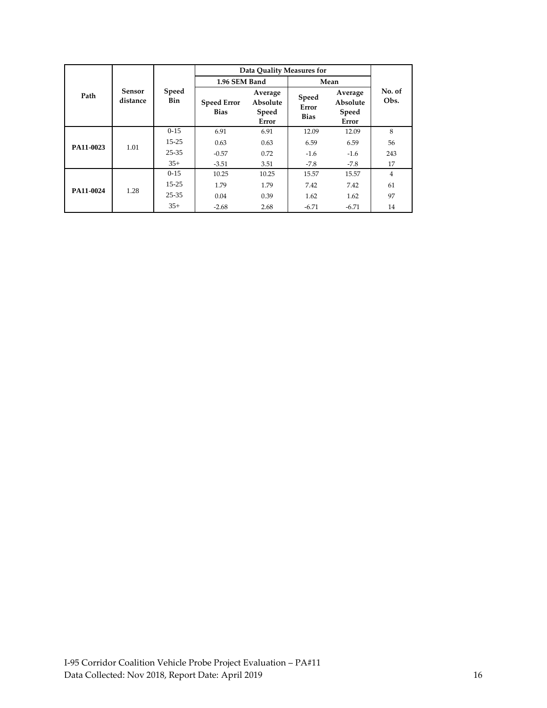|           |                    |                     | Data Quality Measures for         |                                       |                               |                                       |                |
|-----------|--------------------|---------------------|-----------------------------------|---------------------------------------|-------------------------------|---------------------------------------|----------------|
|           |                    |                     |                                   | 1.96 SEM Band                         |                               | Mean                                  |                |
| Path      | Sensor<br>distance | <b>Speed</b><br>Bin | <b>Speed Error</b><br><b>Bias</b> | Average<br>Absolute<br>Speed<br>Error | Speed<br>Error<br><b>Bias</b> | Average<br>Absolute<br>Speed<br>Error | No. of<br>Obs. |
|           |                    | $0-15$              | 6.91                              | 6.91                                  | 12.09                         | 12.09                                 | 8              |
| PA11-0023 | 1.01               | $15 - 25$           | 0.63                              | 0.63                                  | 6.59                          | 6.59                                  | 56             |
|           |                    | $25 - 35$           | $-0.57$                           | 0.72                                  | $-1.6$                        | $-1.6$                                | 243            |
|           |                    | $35+$               | $-3.51$                           | 3.51                                  | $-7.8$                        | $-7.8$                                | 17             |
|           |                    | $0-15$              | 10.25                             | 10.25                                 | 15.57                         | 15.57                                 | 4              |
| PA11-0024 | 1.28               | $15 - 25$           | 1.79                              | 1.79                                  | 7.42                          | 7.42                                  | 61             |
|           |                    | $25 - 35$           | 0.04                              | 0.39                                  | 1.62                          | 1.62                                  | 97             |
|           |                    | $35+$               | $-2.68$                           | 2.68                                  | $-6.71$                       | $-6.71$                               | 14             |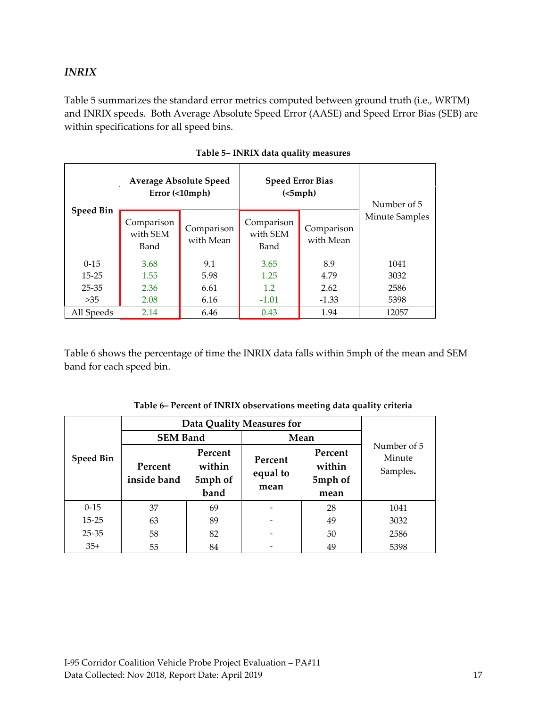#### <span id="page-16-0"></span>*INRIX*

Table 5 summarizes the standard error metrics computed between ground truth (i.e., WRTM) and INRIX speeds. Both Average Absolute Speed Error (AASE) and Speed Error Bias (SEB) are within specifications for all speed bins.

<span id="page-16-1"></span>

|                  |                                | <b>Average Absolute Speed</b><br>$Error ( \langle10mph)$ |                                | <b>Speed Error Bias</b><br>(<5 mph) | Number of 5           |
|------------------|--------------------------------|----------------------------------------------------------|--------------------------------|-------------------------------------|-----------------------|
| <b>Speed Bin</b> | Comparison<br>with SEM<br>Band | Comparison<br>with Mean                                  | Comparison<br>with SEM<br>Band | Comparison<br>with Mean             | <b>Minute Samples</b> |
| $0-15$           | 3.68                           | 9.1                                                      | 3.65                           | 8.9                                 | 1041                  |
| $15 - 25$        | 1.55                           | 5.98                                                     | 1.25                           | 4.79                                | 3032                  |
| $25 - 35$        | 2.36                           | 6.61                                                     | 1.2                            | 2.62                                | 2586                  |
| >35              | 2.08                           | 6.16                                                     | $-1.01$                        | $-1.33$                             | 5398                  |
| All Speeds       | 2.14                           | 6.46                                                     | 0.43                           | 1.94                                | 12057                 |

| Table 5- INRIX data quality measures |
|--------------------------------------|
|--------------------------------------|

Table 6 shows the percentage of time the INRIX data falls within 5mph of the mean and SEM band for each speed bin.

<span id="page-16-2"></span>

|                  | <b>Data Quality Measures for</b> |                                      |                             |                                      |                                   |
|------------------|----------------------------------|--------------------------------------|-----------------------------|--------------------------------------|-----------------------------------|
|                  | <b>SEM Band</b>                  |                                      | Mean                        |                                      |                                   |
| <b>Speed Bin</b> | Percent<br>inside band           | Percent<br>within<br>5mph of<br>band | Percent<br>equal to<br>mean | Percent<br>within<br>5mph of<br>mean | Number of 5<br>Minute<br>Samples. |
| $0-15$           | 37                               | 69                                   |                             | 28                                   | 1041                              |
| $15 - 25$        | 63                               | 89                                   |                             | 49                                   | 3032                              |
| $25 - 35$        | 58                               | 82                                   |                             | 50                                   | 2586                              |
| $35+$            | 55                               | 84                                   |                             | 49                                   | 5398                              |

| Table 6– Percent of INRIX observations meeting data quality criteria |  |  |
|----------------------------------------------------------------------|--|--|
|----------------------------------------------------------------------|--|--|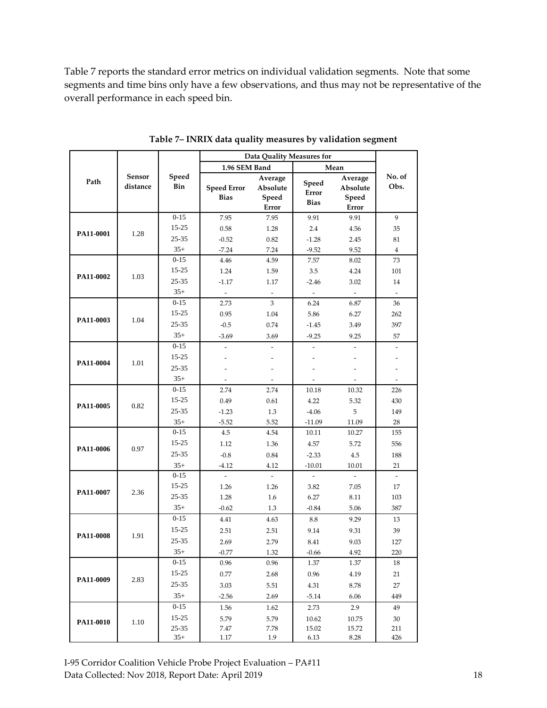Table 7 reports the standard error metrics on individual validation segments. Note that some segments and time bins only have a few observations, and thus may not be representative of the overall performance in each speed bin.

<span id="page-17-0"></span>

|           |                    |                    | Data Quality Measures for         |                                       |                               |                                       |                          |
|-----------|--------------------|--------------------|-----------------------------------|---------------------------------------|-------------------------------|---------------------------------------|--------------------------|
|           |                    |                    | 1.96 SEM Band                     |                                       |                               | Mean                                  |                          |
| Path      | Sensor<br>distance | Speed<br>Bin       | <b>Speed Error</b><br><b>Bias</b> | Average<br>Absolute<br>Speed<br>Error | Speed<br>Error<br><b>Bias</b> | Average<br>Absolute<br>Speed<br>Error | No. of<br>Obs.           |
|           |                    | $0 - 15$           | 7.95                              | 7.95                                  | 9.91                          | 9.91                                  | 9                        |
|           |                    | 15-25              | 0.58                              | 1.28                                  | 2.4                           | 4.56                                  | 35                       |
| PA11-0001 | 1.28               | 25-35              | $-0.52$                           | 0.82                                  | $-1.28$                       | 2.45                                  | 81                       |
|           |                    | $35+$              | $-7.24$                           | 7.24                                  | $-9.52$                       | 9.52                                  | $\overline{4}$           |
|           |                    | $0 - 15$           | 4.46                              | 4.59                                  | 7.57                          | 8.02                                  | 73                       |
|           |                    | 15-25              | 1.24                              | 1.59                                  | 3.5                           | 4.24                                  | 101                      |
| PA11-0002 | 1.03               | 25-35              | $-1.17$                           | 1.17                                  | $-2.46$                       | 3.02                                  | 14                       |
|           |                    | $35+$              | $\overline{\phantom{a}}$          | $\overline{\phantom{a}}$              | $\omega$                      | $\overline{\phantom{a}}$              | $\overline{\phantom{a}}$ |
|           |                    | $0 - 15$           | 2.73                              | 3                                     | 6.24                          | 6.87                                  | 36                       |
|           |                    | 15-25              | 0.95                              | 1.04                                  | 5.86                          | 6.27                                  | 262                      |
| PA11-0003 | 1.04               | 25-35              | $-0.5$                            | 0.74                                  | $-1.45$                       | 3.49                                  | 397                      |
|           |                    | $35+$              | $-3.69$                           | 3.69                                  | $-9.25$                       | 9.25                                  | 57                       |
|           |                    | $0 - 15$           |                                   |                                       | $\overline{\phantom{a}}$      |                                       |                          |
| PA11-0004 | 1.01               | 15-25              |                                   |                                       |                               |                                       |                          |
|           | 25-35              |                    |                                   |                                       |                               |                                       |                          |
|           |                    | $35+$              |                                   |                                       |                               |                                       |                          |
|           |                    | $0 - 15$           | 2.74                              | 2.74                                  | 10.18                         | 10.32                                 | 226                      |
| PA11-0005 | 0.82               | 15-25              | 0.49                              | 0.61                                  | 4.22                          | 5.32                                  | 430                      |
|           |                    | 25-35              | $-1.23$                           | 1.3                                   | $-4.06$                       | 5                                     | 149                      |
|           |                    | $35+$              | $-5.52$                           | 5.52                                  | $-11.09$                      | 11.09                                 | 28                       |
|           |                    | $0 - 15$           | 4.5                               | 4.54                                  | 10.11                         | 10.27                                 | 155                      |
| PA11-0006 | 0.97               | 15-25              | 1.12                              | 1.36                                  | 4.57                          | 5.72                                  | 556                      |
|           |                    | 25-35              | $-0.8$                            | 0.84                                  | $-2.33$                       | 4.5                                   | 188                      |
|           |                    | $35+$              | $-4.12$                           | 4.12                                  | $-10.01$                      | 10.01                                 | 21                       |
|           |                    | $0 - 15$           | $\overline{a}$                    |                                       |                               |                                       | $\overline{\phantom{a}}$ |
| PA11-0007 | 2.36               | 15-25              | 1.26                              | 1.26                                  | 3.82                          | 7.05                                  | 17                       |
|           |                    | 25-35              | 1.28                              | 1.6                                   | 6.27                          | 8.11                                  | 103                      |
|           |                    | $35+$              | $-0.62$                           | 1.3                                   | $-0.84$                       | 5.06                                  | 387                      |
|           |                    | $0 - 15$           | 4.41                              | 4.63                                  | 8.8                           | 9.29                                  | 13                       |
| PA11-0008 | 1.91               | $15 - 25$          | 2.51                              | 2.51                                  | 9.14                          | 9.31                                  | 39                       |
|           |                    | 25-35              | 2.69                              | 2.79                                  | 8.41                          | 9.03                                  | 127                      |
|           |                    | $35+$              | $-0.77$                           | 1.32                                  | $-0.66$                       | 4.92                                  | 220                      |
|           |                    | $0 - 15$           | 0.96                              | 0.96                                  | 1.37                          | 1.37                                  | 18                       |
| PA11-0009 | 2.83               | 15-25              | 0.77                              | 2.68                                  | 0.96                          | 4.19                                  | 21                       |
|           |                    | $25 - 35$          | 3.03                              | 5.51                                  | 4.31                          | $8.78\,$                              | 27                       |
|           |                    | $35+$              | $-2.56$                           | 2.69                                  | $-5.14$                       | 6.06                                  | 449                      |
|           |                    | $0 - 15$           | 1.56                              | 1.62                                  | 2.73                          | 2.9                                   | 49                       |
| PA11-0010 | 1.10               | 15-25              | 5.79                              | 5.79                                  | 10.62                         | 10.75                                 | 30                       |
|           |                    | $25 - 35$<br>$35+$ | 7.47<br>1.17                      | 7.78<br>1.9                           | 15.02<br>6.13                 | 15.72<br>8.28                         | 211<br>426               |
|           |                    |                    |                                   |                                       |                               |                                       |                          |

**Table 7– INRIX data quality measures by validation segment**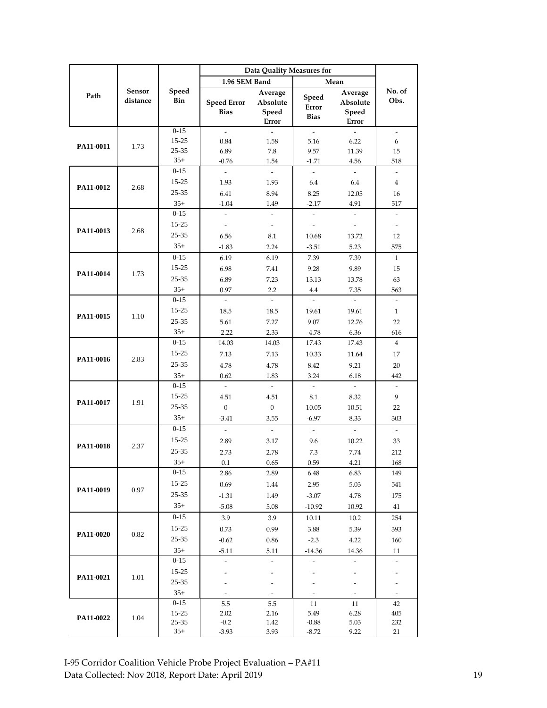|                   |                    |                   | Data Quality Measures for         |                                              |                                      |                                       |                                 |
|-------------------|--------------------|-------------------|-----------------------------------|----------------------------------------------|--------------------------------------|---------------------------------------|---------------------------------|
|                   |                    |                   | 1.96 SEM Band                     |                                              |                                      | Mean                                  |                                 |
| Path              | Sensor<br>distance | Speed<br>Bin      | <b>Speed Error</b><br><b>Bias</b> | Average<br>Absolute<br>Speed<br><b>Error</b> | Speed<br>Error<br><b>Bias</b>        | Average<br>Absolute<br>Speed<br>Error | No. of<br>Obs.                  |
|                   |                    | $0 - 15$          | $\mathcal{L}$                     | $\mathbf{r}$                                 | $\mathcal{L}$                        | $\overline{a}$                        | $\bar{\phantom{a}}$             |
| PA11-0011         | 1.73               | $15 - 25$         | 0.84                              | 1.58                                         | 5.16                                 | 6.22                                  | 6                               |
|                   |                    | 25-35             | 6.89                              | 7.8                                          | 9.57                                 | 11.39                                 | 15                              |
|                   |                    | $35+$             | $-0.76$                           | 1.54                                         | $-1.71$                              | 4.56                                  | 518                             |
|                   |                    | $0 - 15$          | $\bar{\phantom{a}}$               | $\sim$                                       | $\overline{\phantom{a}}$             | $\omega$                              | $\overline{\phantom{a}}$        |
| PA11-0012         | 2.68               | $15 - 25$         | 1.93                              | 1.93                                         | 6.4                                  | 6.4                                   | 4                               |
|                   |                    | 25-35             | 6.41                              | 8.94                                         | 8.25                                 | 12.05                                 | 16                              |
|                   |                    | $35+$             | $-1.04$                           | 1.49                                         | $-2.17$                              | 4.91                                  | 517                             |
|                   |                    | $0-15$            | $\bar{\phantom{a}}$               | $\bar{\phantom{a}}$                          | $\frac{1}{2}$                        | ÷.                                    | $\overline{\phantom{a}}$        |
| PA11-0013         | 2.68               | 15-25             | $\overline{\phantom{a}}$          | $\overline{\phantom{a}}$                     | $\overline{\phantom{a}}$             | $\overline{\phantom{a}}$              | $\overline{\phantom{a}}$        |
|                   |                    | 25-35             | 6.56                              | 8.1                                          | 10.68                                | 13.72                                 | 12                              |
|                   |                    | $35+$             | $-1.83$                           | 2.24                                         | $-3.51$                              | 5.23                                  | 575                             |
|                   |                    | $0 - 15$          | 6.19                              | 6.19                                         | 7.39                                 | 7.39                                  | $\mathbf{1}$                    |
| PA11-0014         | 1.73               | 15-25             | 6.98                              | 7.41                                         | 9.28                                 | 9.89                                  | 15                              |
|                   |                    | 25-35             | 6.89                              | 7.23                                         | 13.13                                | 13.78                                 | 63                              |
|                   |                    | $35+$<br>$0-15$   | 0.97                              | 2.2                                          | 4.4                                  | 7.35                                  | 563                             |
|                   |                    | $15 - 25$         | $\overline{\phantom{a}}$          | $\sim$                                       | $\overline{\phantom{a}}$             | $\omega$                              | $\overline{\phantom{a}}$        |
| PA11-0015         | 1.10               |                   | 18.5                              | 18.5                                         | 19.61                                | 19.61                                 | $\mathbf{1}$                    |
|                   | 25-35<br>$35+$     | 5.61              | 7.27                              | 9.07                                         | 12.76                                | 22                                    |                                 |
|                   |                    | $0-15$            | $-2.22$                           | 2.33                                         | $-4.78$                              | 6.36                                  | 616                             |
| PA11-0016<br>2.83 | 15-25              | 14.03             | 14.03                             | 17.43                                        | 17.43                                | $\overline{4}$                        |                                 |
|                   |                    | 25-35             | 7.13                              | 7.13                                         | 10.33                                | 11.64                                 | 17                              |
|                   |                    | $35+$             | 4.78                              | 4.78                                         | 8.42                                 | 9.21                                  | 20                              |
|                   |                    | $0 - 15$          | 0.62<br>$\bar{\phantom{a}}$       | 1.83<br>$\sim$                               | 3.24<br>$\mathcal{L}_{\mathcal{A}}$  | 6.18<br>$\omega$                      | 442<br>$\overline{\phantom{a}}$ |
|                   |                    | 15-25             | 4.51                              | 4.51                                         | 8.1                                  | 8.32                                  | 9                               |
| PA11-0017         | 1.91               | 25-35             | $\mathbf{0}$                      | $\mathbf{0}$                                 | 10.05                                | 10.51                                 | 22                              |
|                   |                    | $35+$             | $-3.41$                           | 3.55                                         | $-6.97$                              | 8.33                                  | 303                             |
|                   |                    | $0 - 15$          | $\omega$                          | $\sim$                                       | $\omega$                             | $\omega$                              | $\omega$                        |
|                   |                    | $15 - 25$         | 2.89                              | 3.17                                         | 9.6                                  | 10.22                                 | 33                              |
| PA11-0018         | 2.37               | 25-35             |                                   |                                              |                                      | 7.74                                  |                                 |
|                   |                    | $35+$             | 2.73<br>0.1                       | 2.78<br>$0.65\,$                             | 7.3<br>$0.59\,$                      | 4.21                                  | 212<br>$168\,$                  |
|                   |                    | $0 - 15$          | 2.86                              | 2.89                                         | 6.48                                 | 6.83                                  | 149                             |
|                   |                    | $15 - 25$         | 0.69                              | 1.44                                         | 2.95                                 | 5.03                                  | 541                             |
| PA11-0019         | 0.97               | $25 - 35$         | $-1.31$                           | 1.49                                         | $-3.07$                              | 4.78                                  | 175                             |
|                   |                    | $35+$             | $-5.08$                           | 5.08                                         | $-10.92$                             | 10.92                                 | 41                              |
|                   |                    | $0-15$            | 3.9                               | 3.9                                          |                                      |                                       | 254                             |
|                   |                    | 15-25             |                                   |                                              | 10.11                                | 10.2                                  |                                 |
| PA11-0020         | 0.82               | $25 - 35$         | 0.73                              | 0.99                                         | 3.88                                 | 5.39                                  | 393                             |
|                   |                    |                   | $-0.62$                           | 0.86                                         | $-2.3$                               | 4.22                                  | 160                             |
|                   |                    | $35+$<br>$0 - 15$ | $-5.11$<br>$\omega$               | 5.11<br>$\overline{\phantom{a}}$             | $-14.36$<br>$\overline{\phantom{a}}$ | 14.36<br>$\overline{\phantom{a}}$     | 11<br>÷,                        |
|                   |                    | 15-25             |                                   |                                              |                                      |                                       |                                 |
| PA11-0021         | 1.01               | 25-35             |                                   |                                              |                                      | $\overline{\phantom{a}}$              | $\bar{\phantom{a}}$             |
|                   |                    | $35+$             |                                   | $\overline{\phantom{a}}$                     |                                      | $\overline{\phantom{a}}$              | $\overline{\phantom{a}}$        |
|                   |                    | $0-15$            | 5.5                               | 5.5                                          | 11                                   | 11                                    | 42                              |
|                   |                    | 15-25             | 2.02                              | 2.16                                         | 5.49                                 | 6.28                                  | 405                             |
| PA11-0022         | 1.04               | 25-35             | $-0.2$                            | 1.42                                         | $-0.88$                              | 5.03                                  | 232                             |
|                   |                    | $35+$             | $-3.93$                           | 3.93                                         | $-8.72$                              | 9.22                                  | 21                              |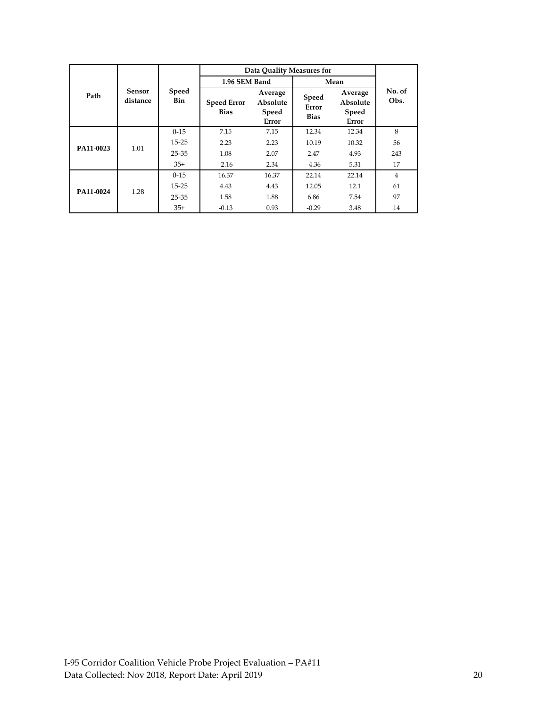|           |                    |                     | Data Quality Measures for         |                                       |                               |                                       |                |
|-----------|--------------------|---------------------|-----------------------------------|---------------------------------------|-------------------------------|---------------------------------------|----------------|
|           |                    |                     | 1.96 SEM Band                     |                                       | Mean                          |                                       |                |
| Path      | Sensor<br>distance | <b>Speed</b><br>Bin | <b>Speed Error</b><br><b>Bias</b> | Average<br>Absolute<br>Speed<br>Error | Speed<br>Error<br><b>Bias</b> | Average<br>Absolute<br>Speed<br>Error | No. of<br>Obs. |
|           |                    | $0 - 15$            | 7.15                              | 7.15                                  | 12.34                         | 12.34                                 | 8              |
| PA11-0023 | 1.01               | $15 - 25$           | 2.23                              | 2.23                                  | 10.19                         | 10.32                                 | 56             |
|           |                    | $25 - 35$           | 1.08                              | 2.07                                  | 2.47                          | 4.93                                  | 243            |
|           |                    | $35+$               | $-2.16$                           | 2.34                                  | $-4.36$                       | 5.31                                  | 17             |
|           |                    | $0 - 15$            | 16.37                             | 16.37                                 | 22.14                         | 22.14                                 | 4              |
| PA11-0024 | 1.28               | $15 - 25$           | 4.43                              | 4.43                                  | 12.05                         | 12.1                                  | 61             |
|           |                    | 25-35               | 1.58                              | 1.88                                  | 6.86                          | 7.54                                  | 97             |
|           |                    | $35+$               | $-0.13$                           | 0.93                                  | $-0.29$                       | 3.48                                  | 14             |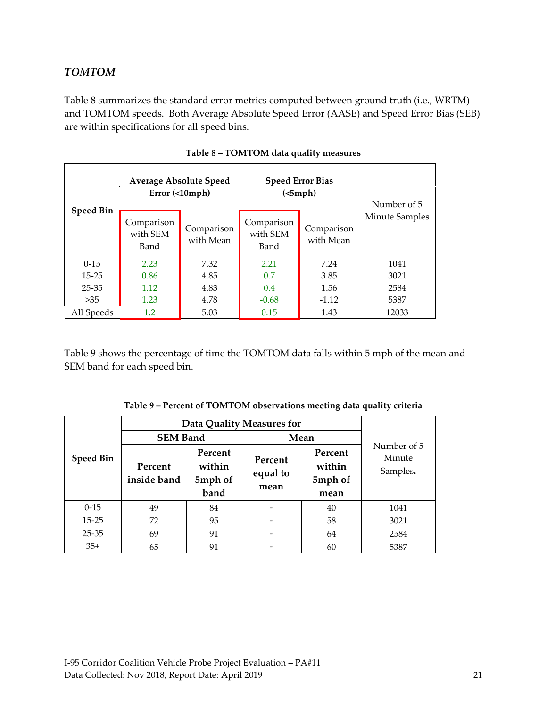#### <span id="page-20-0"></span>*TOMTOM*

Table 8 summarizes the standard error metrics computed between ground truth (i.e., WRTM) and TOMTOM speeds. Both Average Absolute Speed Error (AASE) and Speed Error Bias (SEB) are within specifications for all speed bins.

<span id="page-20-1"></span>

|                  |                                | <b>Average Absolute Speed</b><br>Error (<10mph) |                                | <b>Speed Error Bias</b><br>(<5 mph) | Number of 5           |
|------------------|--------------------------------|-------------------------------------------------|--------------------------------|-------------------------------------|-----------------------|
| <b>Speed Bin</b> | Comparison<br>with SEM<br>Band | Comparison<br>with Mean                         | Comparison<br>with SEM<br>Band | Comparison<br>with Mean             | <b>Minute Samples</b> |
| $0-15$           | 2.23                           | 7.32                                            | 2.21                           | 7.24                                | 1041                  |
| $15 - 25$        | 0.86                           | 4.85                                            | 0.7                            | 3.85                                | 3021                  |
| $25 - 35$        | 1.12                           | 4.83                                            | 0.4                            | 1.56                                | 2584                  |
| >35              | 1.23                           | 4.78                                            | $-0.68$                        | $-1.12$                             | 5387                  |
| All Speeds       | 1.2                            | 5.03                                            | 0.15                           | 1.43                                | 12033                 |

| Table 8 - TOMTOM data quality measures |  |
|----------------------------------------|--|
|----------------------------------------|--|

Table 9 shows the percentage of time the TOMTOM data falls within 5 mph of the mean and SEM band for each speed bin.

<span id="page-20-2"></span>

|                  | <b>Data Quality Measures for</b> |                                      |                             |                                      |                                   |
|------------------|----------------------------------|--------------------------------------|-----------------------------|--------------------------------------|-----------------------------------|
| <b>Speed Bin</b> | <b>SEM Band</b>                  |                                      | Mean                        |                                      |                                   |
|                  | Percent<br>inside band           | Percent<br>within<br>5mph of<br>band | Percent<br>equal to<br>mean | Percent<br>within<br>5mph of<br>mean | Number of 5<br>Minute<br>Samples. |
| $0 - 15$         | 49                               | 84                                   |                             | 40                                   | 1041                              |
| $15 - 25$        | 72                               | 95                                   |                             | 58                                   | 3021                              |
| $25 - 35$        | 69                               | 91                                   |                             | 64                                   | 2584                              |
| $35+$            | 65                               | 91                                   |                             | 60                                   | 5387                              |

| Table 9 – Percent of TOMTOM observations meeting data quality criteria |  |  |
|------------------------------------------------------------------------|--|--|
|------------------------------------------------------------------------|--|--|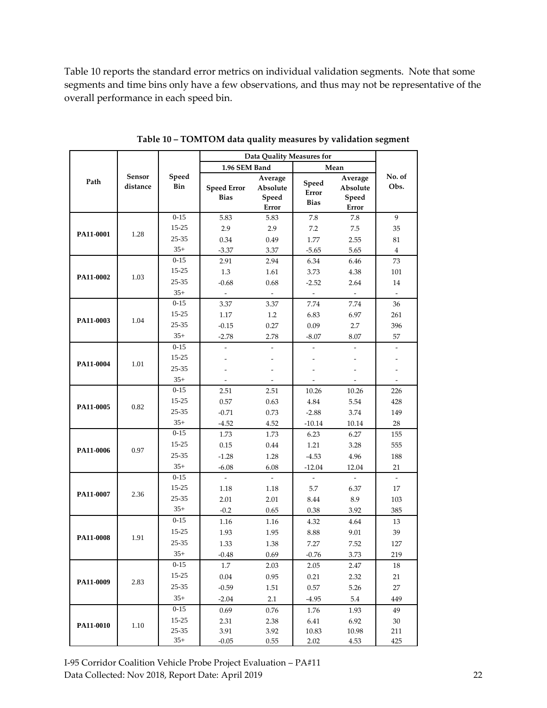Table 10 reports the standard error metrics on individual validation segments. Note that some segments and time bins only have a few observations, and thus may not be representative of the overall performance in each speed bin.

<span id="page-21-0"></span>

|           | Sensor<br>distance |                    | Data Quality Measures for         |                                       |                               |                                       |                          |
|-----------|--------------------|--------------------|-----------------------------------|---------------------------------------|-------------------------------|---------------------------------------|--------------------------|
|           |                    | Speed<br>Bin       | 1.96 SEM Band                     |                                       | Mean                          |                                       |                          |
| Path      |                    |                    | <b>Speed Error</b><br><b>Bias</b> | Average<br>Absolute<br>Speed<br>Error | Speed<br>Error<br><b>Bias</b> | Average<br>Absolute<br>Speed<br>Error | No. of<br>Obs.           |
|           |                    | $0 - 15$           | 5.83                              | 5.83                                  | 7.8                           | 7.8                                   | 9                        |
| PA11-0001 |                    | 15-25              | 2.9                               | 2.9                                   | 7.2                           | 7.5                                   | 35                       |
|           | 1.28               | 25-35              | 0.34                              | 0.49                                  | 1.77                          | 2.55                                  | 81                       |
|           |                    | $35+$              | $-3.37$                           | 3.37                                  | $-5.65$                       | 5.65                                  | $\bf{4}$                 |
|           |                    | $0 - 15$           | 2.91                              | 2.94                                  | 6.34                          | 6.46                                  | 73                       |
| PA11-0002 | 1.03               | 15-25              | 1.3                               | 1.61                                  | 3.73                          | 4.38                                  | 101                      |
|           |                    | 25-35              | $-0.68$                           | 0.68                                  | $-2.52$                       | 2.64                                  | 14                       |
|           |                    | $35+$              | $\overline{\phantom{a}}$          |                                       | $\overline{\phantom{a}}$      | $\overline{\phantom{a}}$              |                          |
|           |                    | $0 - 15$           | 3.37                              | 3.37                                  | 7.74                          | 7.74                                  | 36                       |
| PA11-0003 | 1.04               | 15-25              | 1.17                              | 1.2                                   | 6.83                          | 6.97                                  | 261                      |
|           |                    | 25-35              | $-0.15$                           | 0.27                                  | 0.09                          | 2.7                                   | 396                      |
|           |                    | $35+$              | $-2.78$                           | 2.78                                  | $-8.07$                       | 8.07                                  | 57                       |
|           |                    | $0 - 15$           |                                   |                                       |                               |                                       |                          |
| PA11-0004 | 1.01               | 15-25              |                                   |                                       |                               |                                       |                          |
|           |                    | $25 - 35$          |                                   |                                       |                               |                                       |                          |
|           |                    | $35+$              |                                   |                                       |                               |                                       |                          |
|           |                    | $0 - 15$           | 2.51                              | 2.51                                  | 10.26                         | 10.26                                 | 226                      |
| PA11-0005 | 0.82               | $15 - 25$          | 0.57                              | 0.63                                  | 4.84                          | 5.54                                  | 428                      |
|           |                    | $25 - 35$          | $-0.71$                           | 0.73                                  | $-2.88$                       | 3.74                                  | 149                      |
|           |                    | $35+$              | $-4.52$                           | 4.52                                  | $-10.14$                      | 10.14                                 | 28                       |
|           |                    | $0 - 15$           | 1.73                              | 1.73                                  | 6.23                          | 6.27                                  | 155                      |
| PA11-0006 | 0.97               | $15 - 25$          | 0.15                              | 0.44                                  | 1.21                          | 3.28                                  | 555                      |
|           |                    | $25 - 35$          | $-1.28$                           | 1.28                                  | $-4.53$                       | 4.96                                  | 188                      |
|           |                    | $35+$              | $-6.08$                           | 6.08                                  | $-12.04$                      | 12.04                                 | 21                       |
|           | 2.36               | $0 - 15$           |                                   |                                       | $\overline{a}$                |                                       | $\overline{\phantom{a}}$ |
| PA11-0007 |                    | $15 - 25$          | 1.18                              | 1.18                                  | 5.7                           | 6.37                                  | 17                       |
|           |                    | $25 - 35$<br>$35+$ | 2.01                              | 2.01                                  | 8.44                          | 8.9                                   | 103                      |
|           |                    |                    | $-0.2$                            | 0.65                                  | 0.38                          | 3.92                                  | 385                      |
|           | 1.91               | $0 - 15$           | 1.16                              | 1.16                                  | 4.32                          | 4.64                                  | 13                       |
| PA11-0008 |                    | 15-25              | 1.93                              | 1.95                                  | 8.88                          | 9.01                                  | 39                       |
|           |                    | 25-35              | 1.33                              | 1.38                                  | 7.27                          | 7.52                                  | 127                      |
|           |                    | $35+$              | $-0.48$                           | 0.69                                  | $-0.76$                       | 3.73                                  | 219                      |
|           |                    | $0 - 15$           | 1.7                               | 2.03                                  | 2.05                          | 2.47                                  | 18                       |
| PA11-0009 | 2.83               | 15-25              | $0.04\,$                          | 0.95                                  | 0.21                          | 2.32                                  | 21                       |
|           |                    | $25 - 35$          | $-0.59$                           | 1.51                                  | 0.57                          | 5.26                                  | 27                       |
|           |                    | $35+$              | $-2.04$                           | 2.1                                   | $-4.95$                       | 5.4                                   | 449                      |
|           |                    | $0 - 15$           | 0.69                              | 0.76                                  | 1.76                          | 1.93                                  | 49                       |
| PA11-0010 | 1.10               | 15-25              | 2.31                              | 2.38                                  | 6.41                          | 6.92                                  | 30                       |
|           |                    | 25-35<br>$35+$     | 3.91                              | 3.92                                  | 10.83                         | 10.98                                 | 211                      |
|           |                    |                    | $-0.05$                           | 0.55                                  | 2.02                          | 4.53                                  | 425                      |

**Table 10 – TOMTOM data quality measures by validation segment**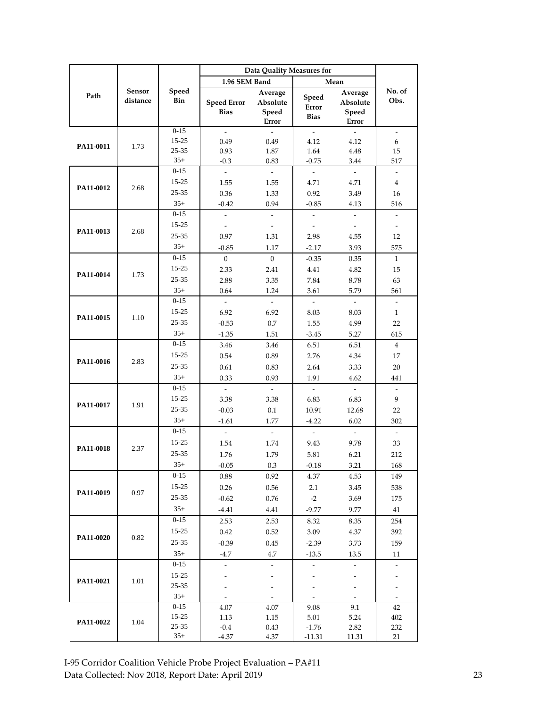|           | Sensor<br>distance | Speed<br>Bin      | Data Quality Measures for         |                                       |                                  |                                       |                          |
|-----------|--------------------|-------------------|-----------------------------------|---------------------------------------|----------------------------------|---------------------------------------|--------------------------|
| Path      |                    |                   | 1.96 SEM Band                     |                                       | Mean                             |                                       |                          |
|           |                    |                   | <b>Speed Error</b><br><b>Bias</b> | Average<br>Absolute<br>Speed<br>Error | Speed<br>Error<br><b>Bias</b>    | Average<br>Absolute<br>Speed<br>Error | No. of<br>Obs.           |
| PA11-0011 |                    | $0 - 15$          | $\overline{a}$                    | $\overline{\phantom{a}}$              | $\mathcal{L}$                    | $\overline{a}$                        | $\overline{\phantom{a}}$ |
|           | 1.73               | 15-25             | 0.49                              | 0.49                                  | 4.12                             | 4.12                                  | 6                        |
|           |                    | 25-35             | 0.93                              | 1.87                                  | 1.64                             | 4.48                                  | 15                       |
|           |                    | $35+$             | $-0.3$                            | 0.83                                  | $-0.75$                          | 3.44                                  | 517                      |
|           |                    | $0 - 15$          | $\overline{\phantom{a}}$          | $\overline{\phantom{a}}$              | $\overline{\phantom{a}}$         | $\omega$                              | $\overline{\phantom{a}}$ |
| PA11-0012 | 2.68               | 15-25             | 1.55                              | 1.55                                  | 4.71                             | 4.71                                  | 4                        |
|           |                    | 25-35             | 0.36                              | 1.33                                  | 0.92                             | 3.49                                  | 16                       |
|           |                    | $35+$             | $-0.42$                           | 0.94                                  | $-0.85$                          | 4.13                                  | 516                      |
|           |                    | $0 - 15$<br>15-25 | $\overline{\phantom{a}}$          | $\overline{\phantom{a}}$              | $\overline{\phantom{a}}$         | $\bar{\phantom{a}}$                   | ÷,                       |
| PA11-0013 | 2.68               |                   | $\overline{\phantom{a}}$          | $\overline{\phantom{a}}$              | $\overline{\phantom{a}}$         | $\overline{\phantom{a}}$              | $\overline{\phantom{a}}$ |
|           |                    | 25-35<br>$35+$    | 0.97                              | 1.31                                  | 2.98                             | 4.55                                  | 12                       |
|           |                    | $0 - 15$          | $-0.85$                           | 1.17                                  | $-2.17$                          | 3.93                                  | 575                      |
|           |                    | 15-25             | $\overline{0}$                    | $\overline{0}$                        | $-0.35$                          | 0.35                                  | $\mathbf{1}$             |
| PA11-0014 | 1.73               | 25-35             | 2.33                              | 2.41                                  | 4.41                             | 4.82                                  | 15                       |
|           |                    | $35+$             | 2.88<br>0.64                      | 3.35                                  | 7.84                             | 8.78                                  | 63                       |
|           |                    | $0 - 15$          | $\mathcal{L}$                     | 1.24<br>$\mathbb{R}^2$                | 3.61<br>$\overline{\phantom{a}}$ | 5.79<br>$\overline{\phantom{a}}$      | 561<br>$\overline{a}$    |
|           |                    | 15-25             | 6.92                              | 6.92                                  | 8.03                             | 8.03                                  | $\mathbf{1}$             |
| PA11-0015 | 1.10               | 25-35             | $-0.53$                           | 0.7                                   | 1.55                             | 4.99                                  | 22                       |
|           |                    | $35+$             | $-1.35$                           | 1.51                                  | $-3.45$                          | 5.27                                  | 615                      |
|           |                    | $0 - 15$          | 3.46                              | 3.46                                  | 6.51                             | 6.51                                  | $\overline{4}$           |
|           | 2.83               | 15-25             | 0.54                              | 0.89                                  | 2.76                             | 4.34                                  | 17                       |
| PA11-0016 |                    | 25-35             | 0.61                              | 0.83                                  | 2.64                             | 3.33                                  | 20                       |
|           |                    | $35+$             | 0.33                              | 0.93                                  | 1.91                             | 4.62                                  | 441                      |
|           |                    | $0 - 15$          |                                   |                                       | $\overline{a}$                   | $\overline{\phantom{a}}$              | $\overline{\phantom{a}}$ |
|           |                    | $15 - 25$         | 3.38                              | 3.38                                  | 6.83                             | 6.83                                  | 9                        |
| PA11-0017 | 1.91               | 25-35             | $-0.03$                           | 0.1                                   | 10.91                            | 12.68                                 | 22                       |
|           |                    | $35+$             | $-1.61$                           | 1.77                                  | $-4.22$                          | 6.02                                  | 302                      |
|           |                    | $0 - 15$          | $\sim$                            | $\sim$                                | $\sim$                           | $\sim$                                | $\overline{\phantom{a}}$ |
|           | 2.37               | $15 - 25$         | 1.54                              | 1.74                                  | 9.43                             | 9.78                                  | 33                       |
| PA11-0018 |                    | 25-35             | 1.76                              | 1.79                                  | 5.81                             | 6.21                                  | 212                      |
|           |                    | $35+$             | $-0.05$                           | 0.3                                   | $-0.18$                          | 3.21                                  | 168                      |
|           | 0.97               | $0-15$            | 0.88                              | 0.92                                  | 4.37                             | 4.53                                  | 149                      |
|           |                    | 15-25             | 0.26                              | 0.56                                  | 2.1                              | 3.45                                  | 538                      |
| PA11-0019 |                    | $25 - 35$         | $-0.62$                           | 0.76                                  | $-2$                             | 3.69                                  | 175                      |
|           |                    | $35+$             | $-4.41$                           | 4.41                                  | $-9.77$                          | 9.77                                  | 41                       |
|           |                    | $0 - 15$          | 2.53                              | 2.53                                  | 8.32                             | 8.35                                  | 254                      |
|           |                    | 15-25             | 0.42                              | 0.52                                  | 3.09                             | 4.37                                  | 392                      |
| PA11-0020 | 0.82               | $25 - 35$         | $-0.39$                           | 0.45                                  | $-2.39$                          | 3.73                                  | 159                      |
|           |                    | $35+$             | $-4.7$                            | 4.7                                   | $-13.5$                          | 13.5                                  | 11                       |
|           |                    | $0 - 15$          | $\overline{\phantom{a}}$          | $\overline{\phantom{a}}$              | $\frac{1}{2}$                    | $\overline{\phantom{a}}$              | ÷,                       |
|           | 1.01               | 15-25             |                                   |                                       |                                  |                                       |                          |
| PA11-0021 |                    | 25-35             |                                   |                                       |                                  | ÷,                                    |                          |
|           |                    | $35+$             |                                   | $\overline{\phantom{a}}$              |                                  | $\overline{\phantom{a}}$              | $\overline{\phantom{a}}$ |
|           |                    | $0 - 15$          | 4.07                              | 4.07                                  | 9.08                             | 9.1                                   | 42                       |
|           |                    | 15-25             | 1.13                              | 1.15                                  | 5.01                             | 5.24                                  | 402                      |
| PA11-0022 | 1.04               | $25 - 35$         | $-0.4$                            | 0.43                                  | $-1.76$                          | 2.82                                  | 232                      |
|           |                    | $35+$             | $-4.37$                           | 4.37                                  | $-11.31$                         | 11.31                                 | 21                       |